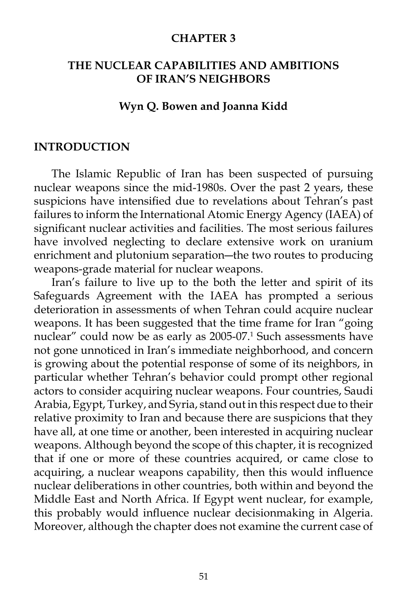#### **CHAPTER 3**

### **THE NUCLEAR CAPABILITIES AND AMBITIONS OF IRAN'S NEIGHBORS**

#### **Wyn Q. Bowen and Joanna Kidd**

#### **INTRODUCTION**

 The Islamic Republic of Iran has been suspected of pursuing nuclear weapons since the mid-1980s. Over the past 2 years, these suspicions have intensified due to revelations about Tehran's past failures to inform the International Atomic Energy Agency (IAEA) of significant nuclear activities and facilities. The most serious failures have involved neglecting to declare extensive work on uranium enrichment and plutonium separation―the two routes to producing weapons-grade material for nuclear weapons.

 Iran's failure to live up to the both the letter and spirit of its Safeguards Agreement with the IAEA has prompted a serious deterioration in assessments of when Tehran could acquire nuclear weapons. It has been suggested that the time frame for Iran "going nuclear" could now be as early as 2005-07.<sup>1</sup> Such assessments have not gone unnoticed in Iran's immediate neighborhood, and concern is growing about the potential response of some of its neighbors, in particular whether Tehran's behavior could prompt other regional actors to consider acquiring nuclear weapons. Four countries, Saudi Arabia, Egypt, Turkey, and Syria, stand out in this respect due to their relative proximity to Iran and because there are suspicions that they have all, at one time or another, been interested in acquiring nuclear weapons. Although beyond the scope of this chapter, it is recognized that if one or more of these countries acquired, or came close to acquiring, a nuclear weapons capability, then this would influence nuclear deliberations in other countries, both within and beyond the Middle East and North Africa. If Egypt went nuclear, for example, this probably would influence nuclear decisionmaking in Algeria. Moreover, although the chapter does not examine the current case of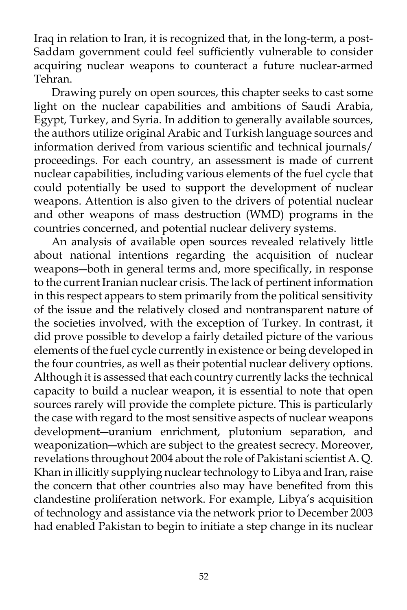Iraq in relation to Iran, it is recognized that, in the long-term, a post-Saddam government could feel sufficiently vulnerable to consider acquiring nuclear weapons to counteract a future nuclear-armed Tehran.

 Drawing purely on open sources, this chapter seeks to cast some light on the nuclear capabilities and ambitions of Saudi Arabia, Egypt, Turkey, and Syria. In addition to generally available sources, the authors utilize original Arabic and Turkish language sources and information derived from various scientific and technical journals/ proceedings. For each country, an assessment is made of current nuclear capabilities, including various elements of the fuel cycle that could potentially be used to support the development of nuclear weapons. Attention is also given to the drivers of potential nuclear and other weapons of mass destruction (WMD) programs in the countries concerned, and potential nuclear delivery systems.

 An analysis of available open sources revealed relatively little about national intentions regarding the acquisition of nuclear weapons―both in general terms and, more specifically, in response to the current Iranian nuclear crisis. The lack of pertinent information in this respect appears to stem primarily from the political sensitivity of the issue and the relatively closed and nontransparent nature of the societies involved, with the exception of Turkey. In contrast, it did prove possible to develop a fairly detailed picture of the various elements of the fuel cycle currently in existence or being developed in the four countries, as well as their potential nuclear delivery options. Although it is assessed that each country currently lacks the technical capacity to build a nuclear weapon, it is essential to note that open sources rarely will provide the complete picture. This is particularly the case with regard to the most sensitive aspects of nuclear weapons development―uranium enrichment, plutonium separation, and weaponization―which are subject to the greatest secrecy. Moreover, revelations throughout 2004 about the role of Pakistani scientist A. Q. Khan in illicitly supplying nuclear technology to Libya and Iran, raise the concern that other countries also may have benefited from this clandestine proliferation network. For example, Libya's acquisition of technology and assistance via the network prior to December 2003 had enabled Pakistan to begin to initiate a step change in its nuclear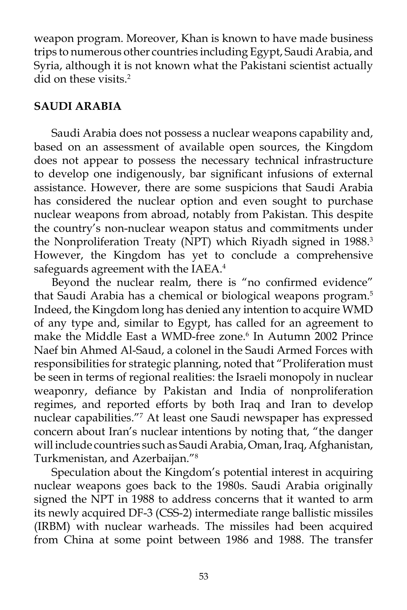weapon program. Moreover, Khan is known to have made business trips to numerous other countries including Egypt, Saudi Arabia, and Syria, although it is not known what the Pakistani scientist actually did on these visits.<sup>2</sup>

# **SAUDI ARABIA**

 Saudi Arabia does not possess a nuclear weapons capability and, based on an assessment of available open sources, the Kingdom does not appear to possess the necessary technical infrastructure to develop one indigenously, bar significant infusions of external assistance. However, there are some suspicions that Saudi Arabia has considered the nuclear option and even sought to purchase nuclear weapons from abroad, notably from Pakistan. This despite the country's non-nuclear weapon status and commitments under the Nonproliferation Treaty (NPT) which Riyadh signed in 1988.<sup>3</sup> However, the Kingdom has yet to conclude a comprehensive safeguards agreement with the IAEA.<sup>4</sup>

 Beyond the nuclear realm, there is "no confirmed evidence" that Saudi Arabia has a chemical or biological weapons program.<sup>5</sup> Indeed, the Kingdom long has denied any intention to acquire WMD of any type and, similar to Egypt, has called for an agreement to make the Middle East a WMD-free zone.6 In Autumn 2002 Prince Naef bin Ahmed Al-Saud, a colonel in the Saudi Armed Forces with responsibilities for strategic planning, noted that "Proliferation must be seen in terms of regional realities: the Israeli monopoly in nuclear weaponry, defiance by Pakistan and India of nonproliferation regimes, and reported efforts by both Iraq and Iran to develop nuclear capabilities."7 At least one Saudi newspaper has expressed concern about Iran's nuclear intentions by noting that, "the danger will include countries such as Saudi Arabia, Oman, Iraq, Afghanistan, Turkmenistan, and Azerbaijan."8

 Speculation about the Kingdom's potential interest in acquiring nuclear weapons goes back to the 1980s. Saudi Arabia originally signed the NPT in 1988 to address concerns that it wanted to arm its newly acquired DF-3 (CSS-2) intermediate range ballistic missiles (IRBM) with nuclear warheads. The missiles had been acquired from China at some point between 1986 and 1988. The transfer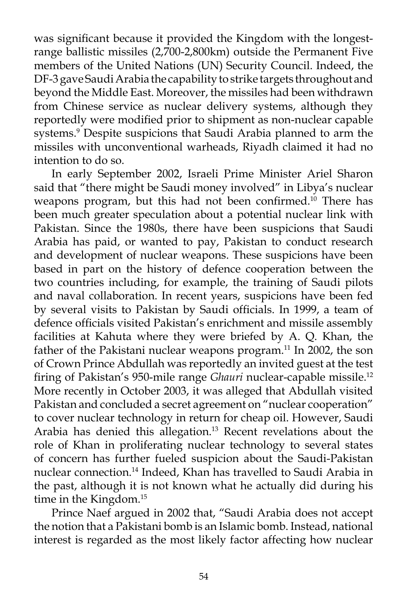was significant because it provided the Kingdom with the longestrange ballistic missiles (2,700-2,800km) outside the Permanent Five members of the United Nations (UN) Security Council. Indeed, the DF-3 gave Saudi Arabia the capability to strike targets throughout and beyond the Middle East. Moreover, the missiles had been withdrawn from Chinese service as nuclear delivery systems, although they reportedly were modified prior to shipment as non-nuclear capable systems.<sup>9</sup> Despite suspicions that Saudi Arabia planned to arm the missiles with unconventional warheads, Riyadh claimed it had no intention to do so.

 In early September 2002, Israeli Prime Minister Ariel Sharon said that "there might be Saudi money involved" in Libya's nuclear weapons program, but this had not been confirmed.<sup>10</sup> There has been much greater speculation about a potential nuclear link with Pakistan. Since the 1980s, there have been suspicions that Saudi Arabia has paid, or wanted to pay, Pakistan to conduct research and development of nuclear weapons. These suspicions have been based in part on the history of defence cooperation between the two countries including, for example, the training of Saudi pilots and naval collaboration. In recent years, suspicions have been fed by several visits to Pakistan by Saudi officials. In 1999, a team of defence officials visited Pakistan's enrichment and missile assembly facilities at Kahuta where they were briefed by A. Q. Khan, the father of the Pakistani nuclear weapons program.<sup>11</sup> In 2002, the son of Crown Prince Abdullah was reportedly an invited guest at the test firing of Pakistan's 950-mile range *Ghauri* nuclear-capable missile.12 More recently in October 2003, it was alleged that Abdullah visited Pakistan and concluded a secret agreement on "nuclear cooperation" to cover nuclear technology in return for cheap oil. However, Saudi Arabia has denied this allegation.<sup>13</sup> Recent revelations about the role of Khan in proliferating nuclear technology to several states of concern has further fueled suspicion about the Saudi-Pakistan nuclear connection.14 Indeed, Khan has travelled to Saudi Arabia in the past, although it is not known what he actually did during his time in the Kingdom.<sup>15</sup>

 Prince Naef argued in 2002 that, "Saudi Arabia does not accept the notion that a Pakistani bomb is an Islamic bomb. Instead, national interest is regarded as the most likely factor affecting how nuclear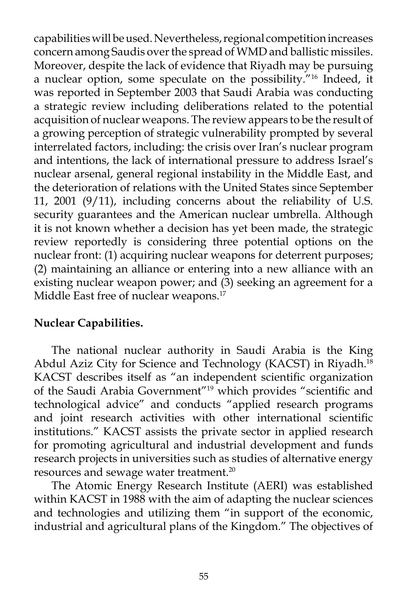capabilities will be used. Nevertheless, regional competition increases concern among Saudis over the spread of WMD and ballistic missiles. Moreover, despite the lack of evidence that Riyadh may be pursuing a nuclear option, some speculate on the possibility."16 Indeed, it was reported in September 2003 that Saudi Arabia was conducting a strategic review including deliberations related to the potential acquisition of nuclear weapons. The review appears to be the result of a growing perception of strategic vulnerability prompted by several interrelated factors, including: the crisis over Iran's nuclear program and intentions, the lack of international pressure to address Israel's nuclear arsenal, general regional instability in the Middle East, and the deterioration of relations with the United States since September 11, 2001 (9/11), including concerns about the reliability of U.S. security guarantees and the American nuclear umbrella. Although it is not known whether a decision has yet been made, the strategic review reportedly is considering three potential options on the nuclear front: (1) acquiring nuclear weapons for deterrent purposes; (2) maintaining an alliance or entering into a new alliance with an existing nuclear weapon power; and (3) seeking an agreement for a Middle East free of nuclear weapons.<sup>17</sup>

## **Nuclear Capabilities.**

 The national nuclear authority in Saudi Arabia is the King Abdul Aziz City for Science and Technology (KACST) in Riyadh.<sup>18</sup> KACST describes itself as "an independent scientific organization of the Saudi Arabia Government"19 which provides "scientific and technological advice" and conducts "applied research programs and joint research activities with other international scientific institutions." KACST assists the private sector in applied research for promoting agricultural and industrial development and funds research projects in universities such as studies of alternative energy resources and sewage water treatment.20

 The Atomic Energy Research Institute (AERI) was established within KACST in 1988 with the aim of adapting the nuclear sciences and technologies and utilizing them "in support of the economic, industrial and agricultural plans of the Kingdom." The objectives of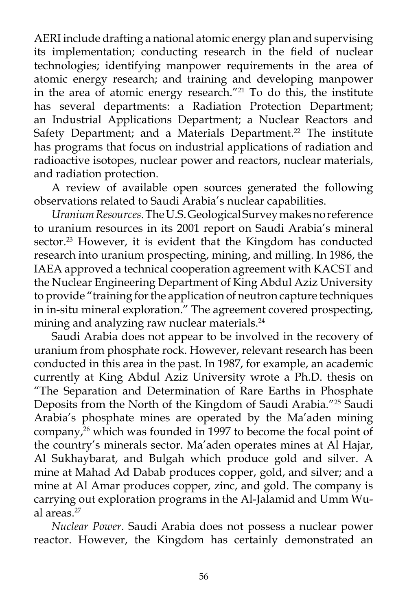AERI include drafting a national atomic energy plan and supervising its implementation; conducting research in the field of nuclear technologies; identifying manpower requirements in the area of atomic energy research; and training and developing manpower in the area of atomic energy research."21 To do this, the institute has several departments: a Radiation Protection Department; an Industrial Applications Department; a Nuclear Reactors and Safety Department; and a Materials Department.<sup>22</sup> The institute has programs that focus on industrial applications of radiation and radioactive isotopes, nuclear power and reactors, nuclear materials, and radiation protection.

 A review of available open sources generated the following observations related to Saudi Arabia's nuclear capabilities.

*Uranium Resources*. The U.S. Geological Survey makes no reference to uranium resources in its 2001 report on Saudi Arabia's mineral sector.<sup>23</sup> However, it is evident that the Kingdom has conducted research into uranium prospecting, mining, and milling. In 1986, the IAEA approved a technical cooperation agreement with KACST and the Nuclear Engineering Department of King Abdul Aziz University to provide "training for the application of neutron capture techniques in in-situ mineral exploration." The agreement covered prospecting, mining and analyzing raw nuclear materials.<sup>24</sup>

 Saudi Arabia does not appear to be involved in the recovery of uranium from phosphate rock. However, relevant research has been conducted in this area in the past. In 1987, for example, an academic currently at King Abdul Aziz University wrote a Ph.D. thesis on "The Separation and Determination of Rare Earths in Phosphate Deposits from the North of the Kingdom of Saudi Arabia."<sup>25</sup> Saudi Arabia's phosphate mines are operated by the Ma'aden mining company,<sup>26</sup> which was founded in 1997 to become the focal point of the country's minerals sector. Ma'aden operates mines at Al Hajar, Al Sukhaybarat, and Bulgah which produce gold and silver. A mine at Mahad Ad Dabab produces copper, gold, and silver; and a mine at Al Amar produces copper, zinc, and gold. The company is carrying out exploration programs in the Al-Jalamid and Umm Wual areas.<sup>27</sup>

*Nuclear Power*. Saudi Arabia does not possess a nuclear power reactor. However, the Kingdom has certainly demonstrated an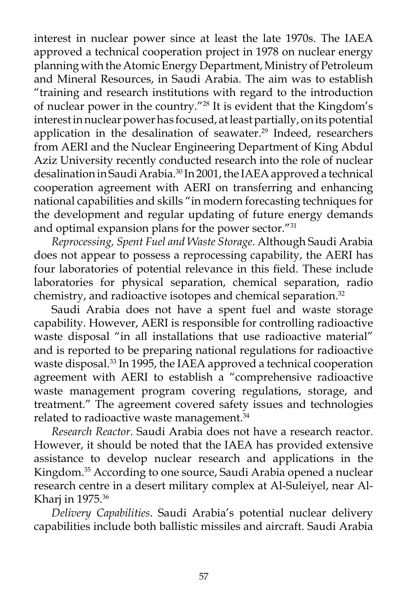interest in nuclear power since at least the late 1970s. The IAEA approved a technical cooperation project in 1978 on nuclear energy planning with the Atomic Energy Department, Ministry of Petroleum and Mineral Resources, in Saudi Arabia. The aim was to establish "training and research institutions with regard to the introduction of nuclear power in the country."28 It is evident that the Kingdom's interest in nuclear power has focused, at least partially, on its potential application in the desalination of seawater.<sup>29</sup> Indeed, researchers from AERI and the Nuclear Engineering Department of King Abdul Aziz University recently conducted research into the role of nuclear desalination in Saudi Arabia.<sup>30</sup> In 2001, the IAEA approved a technical cooperation agreement with AERI on transferring and enhancing national capabilities and skills "in modern forecasting techniques for the development and regular updating of future energy demands and optimal expansion plans for the power sector."31

*Reprocessing, Spent Fuel and Waste Storage*. Although Saudi Arabia does not appear to possess a reprocessing capability, the AERI has four laboratories of potential relevance in this field. These include laboratories for physical separation, chemical separation, radio chemistry, and radioactive isotopes and chemical separation.<sup>32</sup>

 Saudi Arabia does not have a spent fuel and waste storage capability. However, AERI is responsible for controlling radioactive waste disposal "in all installations that use radioactive material" and is reported to be preparing national regulations for radioactive waste disposal.<sup>33</sup> In 1995, the IAEA approved a technical cooperation agreement with AERI to establish a "comprehensive radioactive waste management program covering regulations, storage, and treatment." The agreement covered safety issues and technologies related to radioactive waste management.<sup>34</sup>

*Research Reactor*. Saudi Arabia does not have a research reactor. However, it should be noted that the IAEA has provided extensive assistance to develop nuclear research and applications in the Kingdom.35 According to one source, Saudi Arabia opened a nuclear research centre in a desert military complex at Al-Suleiyel, near Al-Kharj in 1975.36

*Delivery Capabilities*. Saudi Arabia's potential nuclear delivery capabilities include both ballistic missiles and aircraft. Saudi Arabia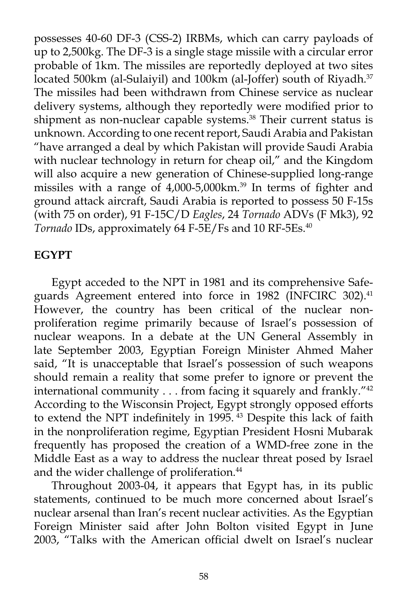possesses 40-60 DF-3 (CSS-2) IRBMs, which can carry payloads of up to 2,500kg. The DF-3 is a single stage missile with a circular error probable of 1km. The missiles are reportedly deployed at two sites located 500km (al-Sulaiyil) and 100km (al-Joffer) south of Riyadh.<sup>37</sup> The missiles had been withdrawn from Chinese service as nuclear delivery systems, although they reportedly were modified prior to shipment as non-nuclear capable systems.<sup>38</sup> Their current status is unknown. According to one recent report, Saudi Arabia and Pakistan "have arranged a deal by which Pakistan will provide Saudi Arabia with nuclear technology in return for cheap oil," and the Kingdom will also acquire a new generation of Chinese-supplied long-range missiles with a range of 4,000-5,000km.<sup>39</sup> In terms of fighter and ground attack aircraft, Saudi Arabia is reported to possess 50 F-15s (with 75 on order), 91 F-15C/D *Eagles*, 24 *Tornado* ADVs (F Mk3), 92 *Tornado* IDs, approximately 64 F-5E/Fs and 10 RF-5Es.40

### **EGYPT**

 Egypt acceded to the NPT in 1981 and its comprehensive Safeguards Agreement entered into force in 1982 (INFCIRC 302).<sup>41</sup> However, the country has been critical of the nuclear nonproliferation regime primarily because of Israel's possession of nuclear weapons. In a debate at the UN General Assembly in late September 2003, Egyptian Foreign Minister Ahmed Maher said, "It is unacceptable that Israel's possession of such weapons should remain a reality that some prefer to ignore or prevent the international community . . . from facing it squarely and frankly."42 According to the Wisconsin Project, Egypt strongly opposed efforts to extend the NPT indefinitely in 1995.<sup>43</sup> Despite this lack of faith in the nonproliferation regime, Egyptian President Hosni Mubarak frequently has proposed the creation of a WMD-free zone in the Middle East as a way to address the nuclear threat posed by Israel and the wider challenge of proliferation.<sup>44</sup>

 Throughout 2003-04, it appears that Egypt has, in its public statements, continued to be much more concerned about Israel's nuclear arsenal than Iran's recent nuclear activities. As the Egyptian Foreign Minister said after John Bolton visited Egypt in June 2003, "Talks with the American official dwelt on Israel's nuclear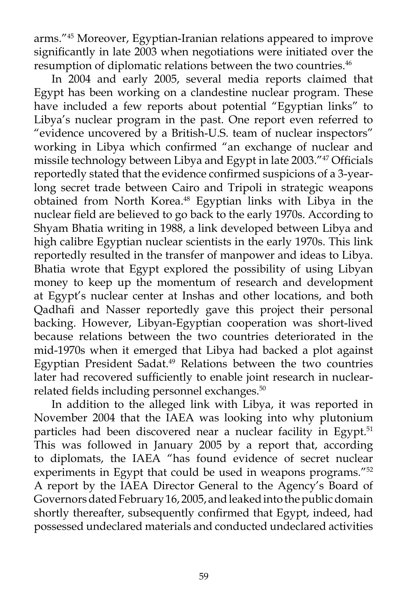arms."45 Moreover, Egyptian-Iranian relations appeared to improve significantly in late 2003 when negotiations were initiated over the resumption of diplomatic relations between the two countries.<sup>46</sup>

 In 2004 and early 2005, several media reports claimed that Egypt has been working on a clandestine nuclear program. These have included a few reports about potential "Egyptian links" to Libya's nuclear program in the past. One report even referred to "evidence uncovered by a British-U.S. team of nuclear inspectors" working in Libya which confirmed "an exchange of nuclear and missile technology between Libya and Egypt in late 2003."47 Officials reportedly stated that the evidence confirmed suspicions of a 3-yearlong secret trade between Cairo and Tripoli in strategic weapons obtained from North Korea.<sup>48</sup> Egyptian links with Libya in the nuclear field are believed to go back to the early 1970s. According to Shyam Bhatia writing in 1988, a link developed between Libya and high calibre Egyptian nuclear scientists in the early 1970s. This link reportedly resulted in the transfer of manpower and ideas to Libya. Bhatia wrote that Egypt explored the possibility of using Libyan money to keep up the momentum of research and development at Egypt's nuclear center at Inshas and other locations, and both Qadhafi and Nasser reportedly gave this project their personal backing. However, Libyan-Egyptian cooperation was short-lived because relations between the two countries deteriorated in the mid-1970s when it emerged that Libya had backed a plot against Egyptian President Sadat.<sup>49</sup> Relations between the two countries later had recovered sufficiently to enable joint research in nuclearrelated fields including personnel exchanges.<sup>50</sup>

In addition to the alleged link with Libya, it was reported in November 2004 that the IAEA was looking into why plutonium particles had been discovered near a nuclear facility in Egypt.<sup>51</sup> This was followed in January 2005 by a report that, according to diplomats, the IAEA "has found evidence of secret nuclear experiments in Egypt that could be used in weapons programs."<sup>52</sup> A report by the IAEA Director General to the Agency's Board of Governors dated February 16, 2005, and leaked into the public domain shortly thereafter, subsequently confirmed that Egypt, indeed, had possessed undeclared materials and conducted undeclared activities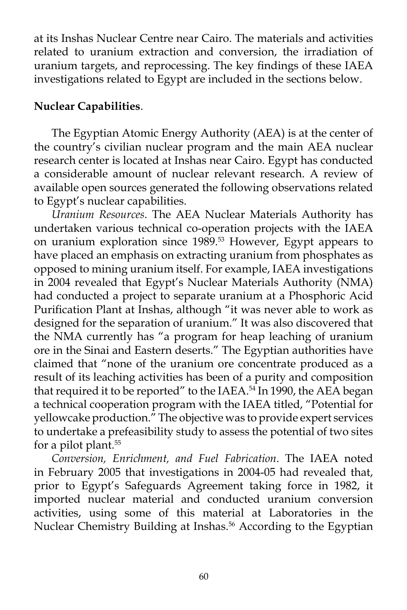at its Inshas Nuclear Centre near Cairo. The materials and activities related to uranium extraction and conversion, the irradiation of uranium targets, and reprocessing. The key findings of these IAEA investigations related to Egypt are included in the sections below.

## **Nuclear Capabilities**.

 The Egyptian Atomic Energy Authority (AEA) is at the center of the country's civilian nuclear program and the main AEA nuclear research center is located at Inshas near Cairo. Egypt has conducted a considerable amount of nuclear relevant research. A review of available open sources generated the following observations related to Egypt's nuclear capabilities.

*Uranium Resources*. The AEA Nuclear Materials Authority has undertaken various technical co-operation projects with the IAEA on uranium exploration since 1989.<sup>53</sup> However, Egypt appears to have placed an emphasis on extracting uranium from phosphates as opposed to mining uranium itself. For example, IAEA investigations in 2004 revealed that Egypt's Nuclear Materials Authority (NMA) had conducted a project to separate uranium at a Phosphoric Acid Purification Plant at Inshas, although "it was never able to work as designed for the separation of uranium." It was also discovered that the NMA currently has "a program for heap leaching of uranium ore in the Sinai and Eastern deserts." The Egyptian authorities have claimed that "none of the uranium ore concentrate produced as a result of its leaching activities has been of a purity and composition that required it to be reported" to the IAEA.<sup>54</sup> In 1990, the AEA began a technical cooperation program with the IAEA titled, "Potential for yellowcake production." The objective was to provide expert services to undertake a prefeasibility study to assess the potential of two sites for a pilot plant.<sup>55</sup>

*Conversion, Enrichment, and Fuel Fabrication*. The IAEA noted in February 2005 that investigations in 2004-05 had revealed that, prior to Egypt's Safeguards Agreement taking force in 1982, it imported nuclear material and conducted uranium conversion activities, using some of this material at Laboratories in the Nuclear Chemistry Building at Inshas.<sup>56</sup> According to the Egyptian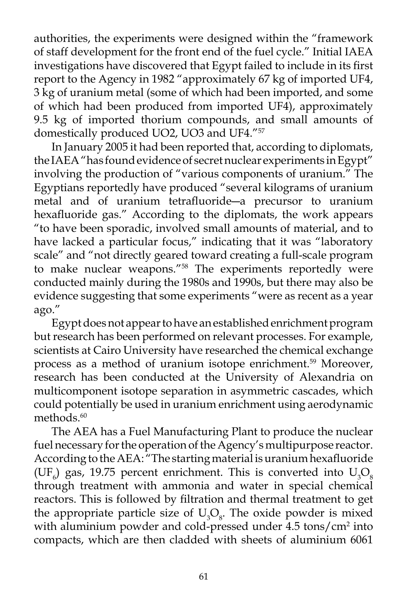authorities, the experiments were designed within the "framework of staff development for the front end of the fuel cycle." Initial IAEA investigations have discovered that Egypt failed to include in its first report to the Agency in 1982 "approximately 67 kg of imported UF4, 3 kg of uranium metal (some of which had been imported, and some of which had been produced from imported UF4), approximately 9.5 kg of imported thorium compounds, and small amounts of domestically produced UO2, UO3 and UF4."57

 In January 2005 it had been reported that, according to diplomats, the IAEA "has found evidence of secret nuclear experiments in Egypt" involving the production of "various components of uranium." The Egyptians reportedly have produced "several kilograms of uranium metal and of uranium tetrafluoride―a precursor to uranium hexafluoride gas." According to the diplomats, the work appears "to have been sporadic, involved small amounts of material, and to have lacked a particular focus," indicating that it was "laboratory scale" and "not directly geared toward creating a full-scale program to make nuclear weapons."58 The experiments reportedly were conducted mainly during the 1980s and 1990s, but there may also be evidence suggesting that some experiments "were as recent as a year ago."

 Egypt does not appear to have an established enrichment program but research has been performed on relevant processes. For example, scientists at Cairo University have researched the chemical exchange process as a method of uranium isotope enrichment.<sup>59</sup> Moreover, research has been conducted at the University of Alexandria on multicomponent isotope separation in asymmetric cascades, which could potentially be used in uranium enrichment using aerodynamic methods.<sup>60</sup>

 The AEA has a Fuel Manufacturing Plant to produce the nuclear fuel necessary for the operation of the Agency's multipurpose reactor. According to the AEA: "The starting material is uranium hexafluoride (UF<sub>6</sub>) gas, 19.75 percent enrichment. This is converted into  $U_3O_8$ through treatment with ammonia and water in special chemical reactors. This is followed by filtration and thermal treatment to get the appropriate particle size of  $U_3O_8$ . The oxide powder is mixed with aluminium powder and cold-pressed under 4.5 tons/cm<sup>2</sup> into compacts, which are then cladded with sheets of aluminium 6061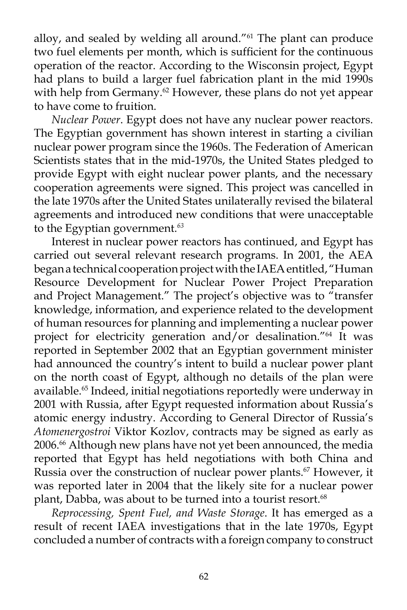alloy, and sealed by welding all around."<sup>61</sup> The plant can produce two fuel elements per month, which is sufficient for the continuous operation of the reactor. According to the Wisconsin project, Egypt had plans to build a larger fuel fabrication plant in the mid 1990s with help from Germany.<sup>62</sup> However, these plans do not yet appear to have come to fruition.

*Nuclear Power*. Egypt does not have any nuclear power reactors. The Egyptian government has shown interest in starting a civilian nuclear power program since the 1960s. The Federation of American Scientists states that in the mid-1970s, the United States pledged to provide Egypt with eight nuclear power plants, and the necessary cooperation agreements were signed. This project was cancelled in the late 1970s after the United States unilaterally revised the bilateral agreements and introduced new conditions that were unacceptable to the Egyptian government.*<sup>63</sup>*

 Interest in nuclear power reactors has continued, and Egypt has carried out several relevant research programs. In 2001, the AEA began a technical cooperation project with the IAEA entitled, "Human Resource Development for Nuclear Power Project Preparation and Project Management." The project's objective was to "transfer knowledge, information, and experience related to the development of human resources for planning and implementing a nuclear power project for electricity generation and/or desalination."64 It was reported in September 2002 that an Egyptian government minister had announced the country's intent to build a nuclear power plant on the north coast of Egypt, although no details of the plan were available.<sup>65</sup> Indeed, initial negotiations reportedly were underway in 2001 with Russia, after Egypt requested information about Russia's atomic energy industry. According to General Director of Russia's *Atomenergostroi* Viktor Kozlov, contracts may be signed as early as 2006.<sup>66</sup> Although new plans have not yet been announced, the media reported that Egypt has held negotiations with both China and Russia over the construction of nuclear power plants.<sup>67</sup> However, it was reported later in 2004 that the likely site for a nuclear power plant, Dabba, was about to be turned into a tourist resort.<sup>68</sup>

*Reprocessing, Spent Fuel, and Waste Storage*. It has emerged as a result of recent IAEA investigations that in the late 1970s, Egypt concluded a number of contracts with a foreign company to construct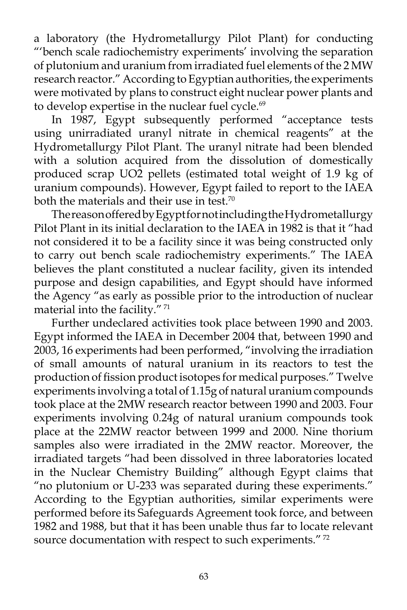a laboratory (the Hydrometallurgy Pilot Plant) for conducting "'bench scale radiochemistry experiments' involving the separation of plutonium and uranium from irradiated fuel elements of the 2 MW research reactor." According to Egyptian authorities, the experiments were motivated by plans to construct eight nuclear power plants and to develop expertise in the nuclear fuel cycle.<sup>69</sup>

 In 1987, Egypt subsequently performed "acceptance tests using unirradiated uranyl nitrate in chemical reagents" at the Hydrometallurgy Pilot Plant. The uranyl nitrate had been blended with a solution acquired from the dissolution of domestically produced scrap UO2 pellets (estimated total weight of 1.9 kg of uranium compounds). However, Egypt failed to report to the IAEA both the materials and their use in test.<sup>70</sup>

 The reason offered by Egypt for not including the Hydrometallurgy Pilot Plant in its initial declaration to the IAEA in 1982 is that it "had not considered it to be a facility since it was being constructed only to carry out bench scale radiochemistry experiments." The IAEA believes the plant constituted a nuclear facility, given its intended purpose and design capabilities, and Egypt should have informed the Agency "as early as possible prior to the introduction of nuclear material into the facility." 71

 Further undeclared activities took place between 1990 and 2003. Egypt informed the IAEA in December 2004 that, between 1990 and 2003, 16 experiments had been performed, "involving the irradiation of small amounts of natural uranium in its reactors to test the production of fission product isotopes for medical purposes." Twelve experiments involving a total of 1.15g of natural uranium compounds took place at the 2MW research reactor between 1990 and 2003. Four experiments involving 0.24g of natural uranium compounds took place at the 22MW reactor between 1999 and 2000. Nine thorium samples also were irradiated in the 2MW reactor. Moreover, the irradiated targets "had been dissolved in three laboratories located in the Nuclear Chemistry Building" although Egypt claims that "no plutonium or U-233 was separated during these experiments." According to the Egyptian authorities, similar experiments were performed before its Safeguards Agreement took force, and between 1982 and 1988, but that it has been unable thus far to locate relevant source documentation with respect to such experiments."<sup>72</sup>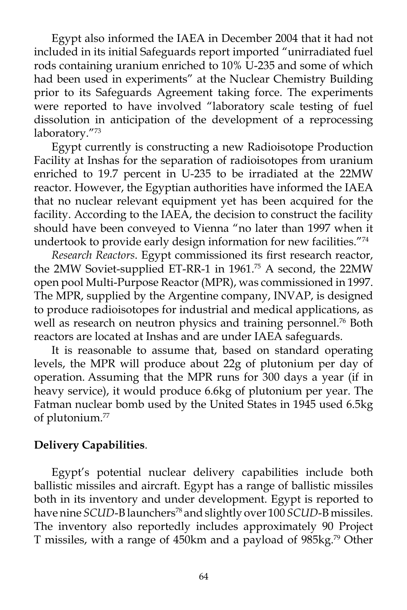Egypt also informed the IAEA in December 2004 that it had not included in its initial Safeguards report imported "unirradiated fuel rods containing uranium enriched to 10% U-235 and some of which had been used in experiments" at the Nuclear Chemistry Building prior to its Safeguards Agreement taking force. The experiments were reported to have involved "laboratory scale testing of fuel dissolution in anticipation of the development of a reprocessing laboratory."73

 Egypt currently is constructing a new Radioisotope Production Facility at Inshas for the separation of radioisotopes from uranium enriched to 19.7 percent in U-235 to be irradiated at the 22MW reactor. However, the Egyptian authorities have informed the IAEA that no nuclear relevant equipment yet has been acquired for the facility. According to the IAEA, the decision to construct the facility should have been conveyed to Vienna "no later than 1997 when it undertook to provide early design information for new facilities."74

*Research Reactors*. Egypt commissioned its first research reactor, the 2MW Soviet-supplied ET-RR-1 in 1961.75 A second, the 22MW open pool Multi-Purpose Reactor (MPR), was commissioned in 1997. The MPR, supplied by the Argentine company, INVAP, is designed to produce radioisotopes for industrial and medical applications, as well as research on neutron physics and training personnel.<sup>76</sup> Both reactors are located at Inshas and are under IAEA safeguards.

 It is reasonable to assume that, based on standard operating levels, the MPR will produce about 22g of plutonium per day of operation. Assuming that the MPR runs for 300 days a year (if in heavy service), it would produce 6.6kg of plutonium per year. The Fatman nuclear bomb used by the United States in 1945 used 6.5kg of plutonium.77

### **Delivery Capabilities**.

 Egypt's potential nuclear delivery capabilities include both ballistic missiles and aircraft. Egypt has a range of ballistic missiles both in its inventory and under development. Egypt is reported to have nine *SCUD*-B launchers78 and slightly over 100 *SCUD*-B missiles. The inventory also reportedly includes approximately 90 Project T missiles, with a range of 450km and a payload of 985kg.79 Other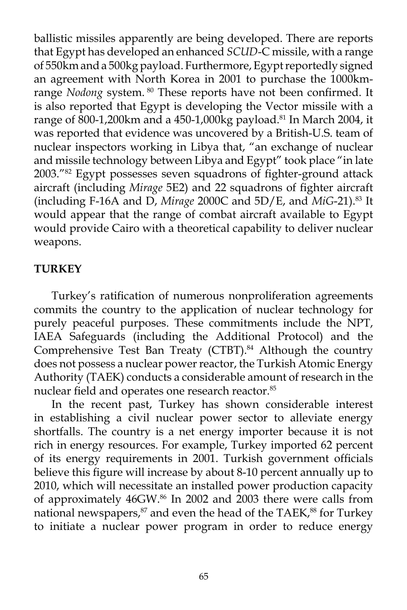ballistic missiles apparently are being developed. There are reports that Egypt has developed an enhanced *SCUD*-C missile, with a range of 550km and a 500kg payload. Furthermore, Egypt reportedly signed an agreement with North Korea in 2001 to purchase the 1000kmrange *Nodong* system. <sup>80</sup> These reports have not been confirmed. It is also reported that Egypt is developing the Vector missile with a range of 800-1,200km and a 450-1,000kg payload.<sup>81</sup> In March 2004, it was reported that evidence was uncovered by a British-U.S. team of nuclear inspectors working in Libya that, "an exchange of nuclear and missile technology between Libya and Egypt" took place "in late 2003."82 Egypt possesses seven squadrons of fighter-ground attack aircraft (including *Mirage* 5E2) and 22 squadrons of fighter aircraft (including F-16A and D, *Mirage* 2000C and 5D/E, and *MiG*-21).83 It would appear that the range of combat aircraft available to Egypt would provide Cairo with a theoretical capability to deliver nuclear weapons.

### **TURKEY**

 Turkey's ratification of numerous nonproliferation agreements commits the country to the application of nuclear technology for purely peaceful purposes. These commitments include the NPT, IAEA Safeguards (including the Additional Protocol) and the Comprehensive Test Ban Treaty (CTBT).<sup>84</sup> Although the country does not possess a nuclear power reactor, the Turkish Atomic Energy Authority (TAEK) conducts a considerable amount of research in the nuclear field and operates one research reactor.<sup>85</sup>

 In the recent past, Turkey has shown considerable interest in establishing a civil nuclear power sector to alleviate energy shortfalls. The country is a net energy importer because it is not rich in energy resources. For example, Turkey imported 62 percent of its energy requirements in 2001. Turkish government officials believe this figure will increase by about 8-10 percent annually up to 2010, which will necessitate an installed power production capacity of approximately 46GW.<sup>86</sup> In 2002 and 2003 there were calls from national newspapers,<sup>87</sup> and even the head of the TAEK,<sup>88</sup> for Turkey to initiate a nuclear power program in order to reduce energy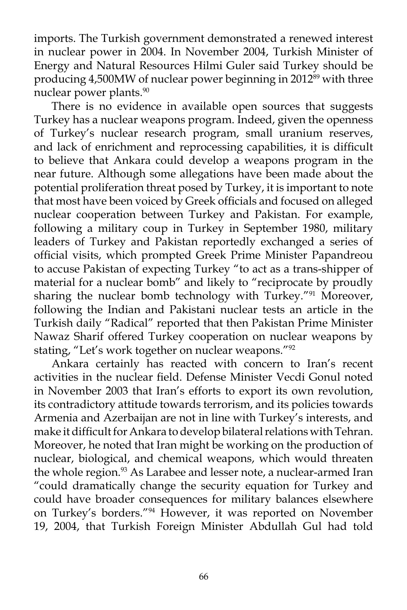imports. The Turkish government demonstrated a renewed interest in nuclear power in 2004. In November 2004, Turkish Minister of Energy and Natural Resources Hilmi Guler said Turkey should be producing 4,500MW of nuclear power beginning in 2012<sup>89</sup> with three nuclear power plants.90

 There is no evidence in available open sources that suggests Turkey has a nuclear weapons program. Indeed, given the openness of Turkey's nuclear research program, small uranium reserves, and lack of enrichment and reprocessing capabilities, it is difficult to believe that Ankara could develop a weapons program in the near future. Although some allegations have been made about the potential proliferation threat posed by Turkey, it is important to note that most have been voiced by Greek officials and focused on alleged nuclear cooperation between Turkey and Pakistan. For example, following a military coup in Turkey in September 1980, military leaders of Turkey and Pakistan reportedly exchanged a series of official visits, which prompted Greek Prime Minister Papandreou to accuse Pakistan of expecting Turkey "to act as a trans-shipper of material for a nuclear bomb" and likely to "reciprocate by proudly sharing the nuclear bomb technology with Turkey."<sup>91</sup> Moreover, following the Indian and Pakistani nuclear tests an article in the Turkish daily "Radical" reported that then Pakistan Prime Minister Nawaz Sharif offered Turkey cooperation on nuclear weapons by stating, "Let's work together on nuclear weapons."92

 Ankara certainly has reacted with concern to Iran's recent activities in the nuclear field. Defense Minister Vecdi Gonul noted in November 2003 that Iran's efforts to export its own revolution, its contradictory attitude towards terrorism, and its policies towards Armenia and Azerbaijan are not in line with Turkey's interests, and make it difficult for Ankara to develop bilateral relations with Tehran. Moreover, he noted that Iran might be working on the production of nuclear, biological, and chemical weapons, which would threaten the whole region.<sup>93</sup> As Larabee and lesser note, a nuclear-armed Iran "could dramatically change the security equation for Turkey and could have broader consequences for military balances elsewhere on Turkey's borders."94 However, it was reported on November 19, 2004, that Turkish Foreign Minister Abdullah Gul had told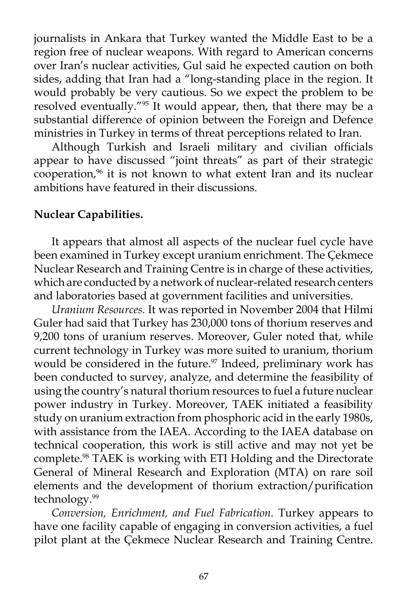journalists in Ankara that Turkey wanted the Middle East to be a region free of nuclear weapons. With regard to American concerns over Iran's nuclear activities, Gul said he expected caution on both sides, adding that Iran had a "long-standing place in the region. It would probably be very cautious. So we expect the problem to be resolved eventually."95 It would appear, then, that there may be a substantial difference of opinion between the Foreign and Defence ministries in Turkey in terms of threat perceptions related to Iran.

 Although Turkish and Israeli military and civilian officials appear to have discussed "joint threats" as part of their strategic cooperation,96 it is not known to what extent Iran and its nuclear ambitions have featured in their discussions.

### **Nuclear Capabilities.**

 It appears that almost all aspects of the nuclear fuel cycle have been examined in Turkey except uranium enrichment. The Çekmece Nuclear Research and Training Centre is in charge of these activities, which are conducted by a network of nuclear-related research centers and laboratories based at government facilities and universities.

*Uranium Resources.* It was reported in November 2004 that Hilmi Guler had said that Turkey has 230,000 tons of thorium reserves and 9,200 tons of uranium reserves. Moreover, Guler noted that, while current technology in Turkey was more suited to uranium, thorium would be considered in the future.<sup>97</sup> Indeed, preliminary work has been conducted to survey, analyze, and determine the feasibility of using the country's natural thorium resources to fuel a future nuclear power industry in Turkey. Moreover, TAEK initiated a feasibility study on uranium extraction from phosphoric acid in the early 1980s, with assistance from the IAEA. According to the IAEA database on technical cooperation, this work is still active and may not yet be complete.98 TAEK is working with ETI Holding and the Directorate General of Mineral Research and Exploration (MTA) on rare soil elements and the development of thorium extraction/purification technology.99

*Conversion, Enrichment, and Fuel Fabrication.* Turkey appears to have one facility capable of engaging in conversion activities, a fuel pilot plant at the Çekmece Nuclear Research and Training Centre.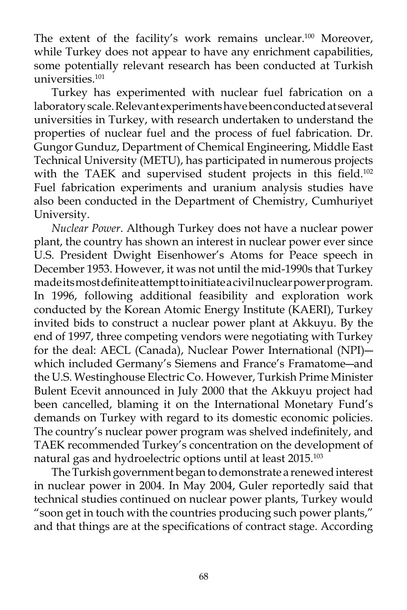The extent of the facility's work remains unclear.<sup>100</sup> Moreover, while Turkey does not appear to have any enrichment capabilities, some potentially relevant research has been conducted at Turkish universities. 101

Turkey has experimented with nuclear fuel fabrication on a laboratory scale. Relevant experiments have been conducted at several universities in Turkey, with research undertaken to understand the properties of nuclear fuel and the process of fuel fabrication. Dr. Gungor Gunduz, Department of Chemical Engineering, Middle East Technical University (METU), has participated in numerous projects with the TAEK and supervised student projects in this field.<sup>102</sup> Fuel fabrication experiments and uranium analysis studies have also been conducted in the Department of Chemistry, Cumhuriyet University.

*Nuclear Power*. Although Turkey does not have a nuclear power plant, the country has shown an interest in nuclear power ever since U.S. President Dwight Eisenhower's Atoms for Peace speech in December 1953. However, it was not until the mid-1990s that Turkey made its most definite attempt to initiate a civil nuclear power program. In 1996, following additional feasibility and exploration work conducted by the Korean Atomic Energy Institute (KAERI), Turkey invited bids to construct a nuclear power plant at Akkuyu. By the end of 1997, three competing vendors were negotiating with Turkey for the deal: AECL (Canada), Nuclear Power International (NPI)― which included Germany's Siemens and France's Framatome―and the U.S. Westinghouse Electric Co. However, Turkish Prime Minister Bulent Ecevit announced in July 2000 that the Akkuyu project had been cancelled, blaming it on the International Monetary Fund's demands on Turkey with regard to its domestic economic policies. The country's nuclear power program was shelved indefinitely, and TAEK recommended Turkey's concentration on the development of natural gas and hydroelectric options until at least 2015.103

The Turkish government began to demonstrate a renewed interest in nuclear power in 2004. In May 2004, Guler reportedly said that technical studies continued on nuclear power plants, Turkey would "soon get in touch with the countries producing such power plants," and that things are at the specifications of contract stage. According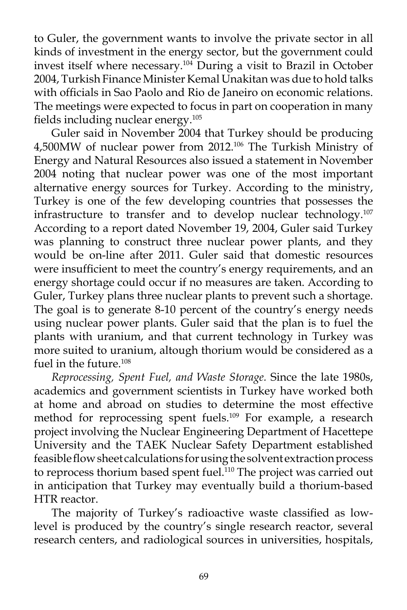to Guler, the government wants to involve the private sector in all kinds of investment in the energy sector, but the government could invest itself where necessary.104 During a visit to Brazil in October 2004, Turkish Finance Minister Kemal Unakitan was due to hold talks with officials in Sao Paolo and Rio de Janeiro on economic relations. The meetings were expected to focus in part on cooperation in many fields including nuclear energy.105

 Guler said in November 2004 that Turkey should be producing 4,500MW of nuclear power from 2012.106 The Turkish Ministry of Energy and Natural Resources also issued a statement in November 2004 noting that nuclear power was one of the most important alternative energy sources for Turkey. According to the ministry, Turkey is one of the few developing countries that possesses the infrastructure to transfer and to develop nuclear technology.107 According to a report dated November 19, 2004, Guler said Turkey was planning to construct three nuclear power plants, and they would be on-line after 2011. Guler said that domestic resources were insufficient to meet the country's energy requirements, and an energy shortage could occur if no measures are taken. According to Guler, Turkey plans three nuclear plants to prevent such a shortage. The goal is to generate 8-10 percent of the country's energy needs using nuclear power plants. Guler said that the plan is to fuel the plants with uranium, and that current technology in Turkey was more suited to uranium, altough thorium would be considered as a fuel in the future  $108$ 

*Reprocessing, Spent Fuel, and Waste Storage.* Since the late 1980s, academics and government scientists in Turkey have worked both at home and abroad on studies to determine the most effective method for reprocessing spent fuels.109 For example, a research project involving the Nuclear Engineering Department of Hacettepe University and the TAEK Nuclear Safety Department established feasible flow sheet calculations for using the solvent extraction process to reprocess thorium based spent fuel.<sup>110</sup> The project was carried out in anticipation that Turkey may eventually build a thorium-based HTR reactor.

The majority of Turkey's radioactive waste classified as lowlevel is produced by the country's single research reactor, several research centers, and radiological sources in universities, hospitals,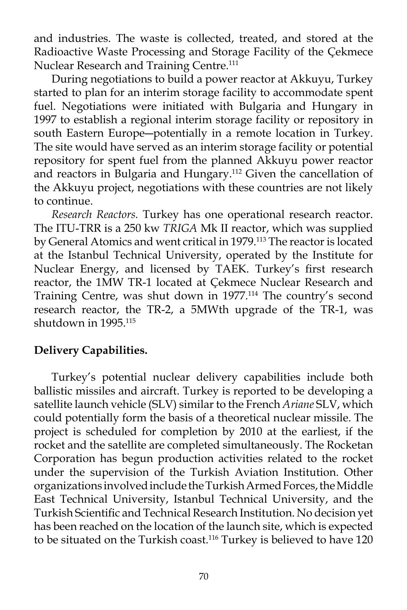and industries. The waste is collected, treated, and stored at the Radioactive Waste Processing and Storage Facility of the Çekmece Nuclear Research and Training Centre.<sup>111</sup>

During negotiations to build a power reactor at Akkuyu, Turkey started to plan for an interim storage facility to accommodate spent fuel. Negotiations were initiated with Bulgaria and Hungary in 1997 to establish a regional interim storage facility or repository in south Eastern Europe―potentially in a remote location in Turkey. The site would have served as an interim storage facility or potential repository for spent fuel from the planned Akkuyu power reactor and reactors in Bulgaria and Hungary.112 Given the cancellation of the Akkuyu project, negotiations with these countries are not likely to continue.

*Research Reactors.* Turkey has one operational research reactor. The ITU-TRR is a 250 kw *TRIGA* Mk II reactor, which was supplied by General Atomics and went critical in 1979.113 The reactor is located at the Istanbul Technical University, operated by the Institute for Nuclear Energy, and licensed by TAEK. Turkey's first research reactor, the 1MW TR-1 located at Çekmece Nuclear Research and Training Centre, was shut down in 1977.<sup>114</sup> The country's second research reactor, the TR-2, a 5MWth upgrade of the TR-1, was shutdown in 1995.<sup>115</sup>

## **Delivery Capabilities.**

 Turkey's potential nuclear delivery capabilities include both ballistic missiles and aircraft. Turkey is reported to be developing a satellite launch vehicle (SLV) similar to the French *Ariane* SLV, which could potentially form the basis of a theoretical nuclear missile. The project is scheduled for completion by 2010 at the earliest, if the rocket and the satellite are completed simultaneously. The Rocketan Corporation has begun production activities related to the rocket under the supervision of the Turkish Aviation Institution. Other organizations involved include the Turkish Armed Forces, the Middle East Technical University, Istanbul Technical University, and the Turkish Scientific and Technical Research Institution. No decision yet has been reached on the location of the launch site, which is expected to be situated on the Turkish coast.<sup>116</sup> Turkey is believed to have 120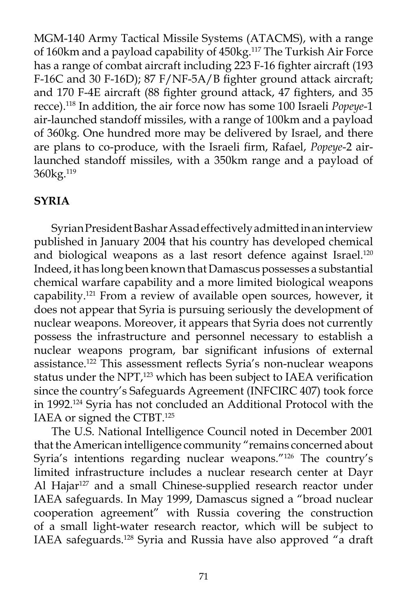MGM-140 Army Tactical Missile Systems (ATACMS), with a range of 160km and a payload capability of 450kg.<sup>117</sup> The Turkish Air Force has a range of combat aircraft including 223 F-16 fighter aircraft (193 F-16C and 30 F-16D); 87 F/NF-5A/B fighter ground attack aircraft; and 170 F-4E aircraft (88 fighter ground attack, 47 fighters, and 35 recce).118 In addition, the air force now has some 100 Israeli *Popeye*-1 air-launched standoff missiles, with a range of 100km and a payload of 360kg. One hundred more may be delivered by Israel, and there are plans to co-produce, with the Israeli firm, Rafael, *Popeye*-2 airlaunched standoff missiles, with a 350km range and a payload of 360kg.<sup>119</sup>

# **SYRIA**

 Syrian President Bashar Assad effectively admitted in an interview published in January 2004 that his country has developed chemical and biological weapons as a last resort defence against Israel.<sup>120</sup> Indeed, it has long been known that Damascus possesses a substantial chemical warfare capability and a more limited biological weapons capability.121 From a review of available open sources, however, it does not appear that Syria is pursuing seriously the development of nuclear weapons. Moreover, it appears that Syria does not currently possess the infrastructure and personnel necessary to establish a nuclear weapons program, bar significant infusions of external assistance.122 This assessment reflects Syria's non-nuclear weapons status under the NPT,<sup>123</sup> which has been subject to IAEA verification since the country's Safeguards Agreement (INFCIRC 407) took force in 1992.124 Syria has not concluded an Additional Protocol with the IAEA or signed the CTBT.125

 The U.S. National Intelligence Council noted in December 2001 that the American intelligence community "remains concerned about Syria's intentions regarding nuclear weapons."126 The country's limited infrastructure includes a nuclear research center at Dayr Al Hajar<sup>127</sup> and a small Chinese-supplied research reactor under IAEA safeguards. In May 1999, Damascus signed a "broad nuclear cooperation agreement" with Russia covering the construction of a small light-water research reactor, which will be subject to IAEA safeguards.128 Syria and Russia have also approved "a draft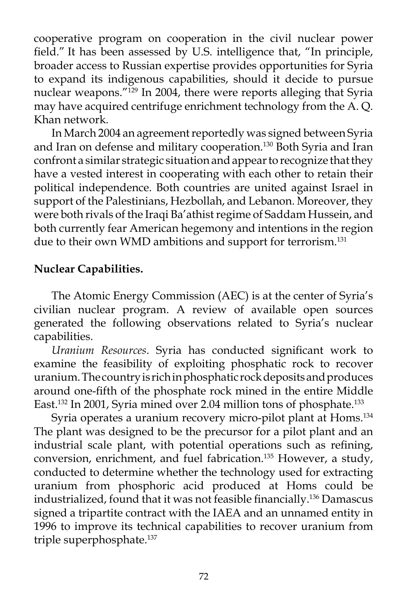cooperative program on cooperation in the civil nuclear power field." It has been assessed by U.S. intelligence that, "In principle, broader access to Russian expertise provides opportunities for Syria to expand its indigenous capabilities, should it decide to pursue nuclear weapons."129 In 2004, there were reports alleging that Syria may have acquired centrifuge enrichment technology from the A. Q. Khan network.

In March 2004 an agreement reportedly was signed between Syria and Iran on defense and military cooperation.130 Both Syria and Iran confront a similar strategic situation and appear to recognize that they have a vested interest in cooperating with each other to retain their political independence. Both countries are united against Israel in support of the Palestinians, Hezbollah, and Lebanon. Moreover, they were both rivals of the Iraqi Ba'athist regime of Saddam Hussein, and both currently fear American hegemony and intentions in the region due to their own WMD ambitions and support for terrorism.<sup>131</sup>

## **Nuclear Capabilities.**

 The Atomic Energy Commission (AEC) is at the center of Syria's civilian nuclear program. A review of available open sources generated the following observations related to Syria's nuclear capabilities.

*Uranium Resources*. Syria has conducted significant work to examine the feasibility of exploiting phosphatic rock to recover uranium. The country is rich in phosphatic rock deposits and produces around one-fifth of the phosphate rock mined in the entire Middle East.<sup>132</sup> In 2001, Syria mined over 2.04 million tons of phosphate.<sup>133</sup>

 Syria operates a uranium recovery micro-pilot plant at Homs.134 The plant was designed to be the precursor for a pilot plant and an industrial scale plant, with potential operations such as refining, conversion, enrichment, and fuel fabrication.135 However, a study, conducted to determine whether the technology used for extracting uranium from phosphoric acid produced at Homs could be industrialized, found that it was not feasible financially.136 Damascus signed a tripartite contract with the IAEA and an unnamed entity in 1996 to improve its technical capabilities to recover uranium from triple superphosphate.<sup>137</sup>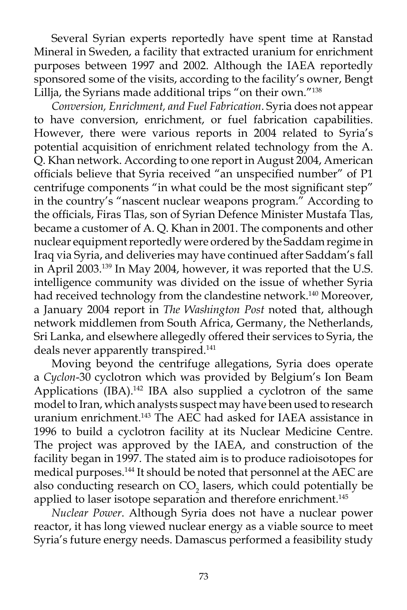Several Syrian experts reportedly have spent time at Ranstad Mineral in Sweden, a facility that extracted uranium for enrichment purposes between 1997 and 2002. Although the IAEA reportedly sponsored some of the visits, according to the facility's owner, Bengt Lillja, the Syrians made additional trips "on their own."<sup>138</sup>

 *Conversion, Enrichment, and Fuel Fabrication*. Syria does not appear to have conversion, enrichment, or fuel fabrication capabilities. However, there were various reports in 2004 related to Syria's potential acquisition of enrichment related technology from the A. Q. Khan network. According to one report in August 2004, American officials believe that Syria received "an unspecified number" of P1 centrifuge components "in what could be the most significant step" in the country's "nascent nuclear weapons program." According to the officials, Firas Tlas, son of Syrian Defence Minister Mustafa Tlas, became a customer of A. Q. Khan in 2001. The components and other nuclear equipment reportedly were ordered by the Saddam regime in Iraq via Syria, and deliveries may have continued after Saddam's fall in April 2003.139 In May 2004, however, it was reported that the U.S. intelligence community was divided on the issue of whether Syria had received technology from the clandestine network.<sup>140</sup> Moreover, a January 2004 report in *The Washington Post* noted that, although network middlemen from South Africa, Germany, the Netherlands, Sri Lanka, and elsewhere allegedly offered their services to Syria, the deals never apparently transpired.<sup>141</sup>

 Moving beyond the centrifuge allegations, Syria does operate a *Cyclon*-30 cyclotron which was provided by Belgium's Ion Beam Applications (IBA).<sup>142</sup> IBA also supplied a cyclotron of the same model to Iran, which analysts suspect may have been used to research uranium enrichment.143 The AEC had asked for IAEA assistance in 1996 to build a cyclotron facility at its Nuclear Medicine Centre. The project was approved by the IAEA, and construction of the facility began in 1997. The stated aim is to produce radioisotopes for medical purposes.144 It should be noted that personnel at the AEC are also conducting research on  $CO_2$  lasers, which could potentially be applied to laser isotope separation and therefore enrichment.<sup>145</sup>

*Nuclear Power*. Although Syria does not have a nuclear power reactor, it has long viewed nuclear energy as a viable source to meet Syria's future energy needs. Damascus performed a feasibility study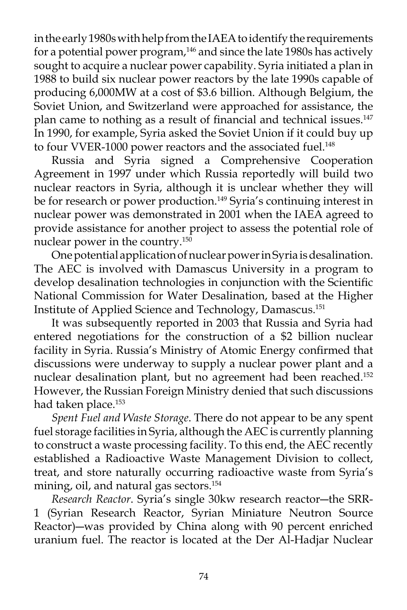in the early 1980s with help from the IAEA to identify the requirements for a potential power program,<sup>146</sup> and since the late 1980s has actively sought to acquire a nuclear power capability. Syria initiated a plan in 1988 to build six nuclear power reactors by the late 1990s capable of producing 6,000MW at a cost of \$3.6 billion. Although Belgium, the Soviet Union, and Switzerland were approached for assistance, the plan came to nothing as a result of financial and technical issues.<sup>147</sup> In 1990, for example, Syria asked the Soviet Union if it could buy up to four VVER-1000 power reactors and the associated fuel.<sup>148</sup>

 Russia and Syria signed a Comprehensive Cooperation Agreement in 1997 under which Russia reportedly will build two nuclear reactors in Syria, although it is unclear whether they will be for research or power production.<sup>149</sup> Syria's continuing interest in nuclear power was demonstrated in 2001 when the IAEA agreed to provide assistance for another project to assess the potential role of nuclear power in the country.150

 One potential application of nuclear power in Syria is desalination. The AEC is involved with Damascus University in a program to develop desalination technologies in conjunction with the Scientific National Commission for Water Desalination, based at the Higher Institute of Applied Science and Technology, Damascus.151

 It was subsequently reported in 2003 that Russia and Syria had entered negotiations for the construction of a \$2 billion nuclear facility in Syria. Russia's Ministry of Atomic Energy confirmed that discussions were underway to supply a nuclear power plant and a nuclear desalination plant, but no agreement had been reached.152 However, the Russian Foreign Ministry denied that such discussions had taken place.<sup>153</sup>

*Spent Fuel and Waste Storage*. There do not appear to be any spent fuel storage facilities in Syria, although the AEC is currently planning to construct a waste processing facility. To this end, the AEC recently established a Radioactive Waste Management Division to collect, treat, and store naturally occurring radioactive waste from Syria's mining, oil, and natural gas sectors.<sup>154</sup>

 *Research Reactor*. Syria's single 30kw research reactor―the SRR-1 (Syrian Research Reactor, Syrian Miniature Neutron Source Reactor)―was provided by China along with 90 percent enriched uranium fuel. The reactor is located at the Der Al-Hadjar Nuclear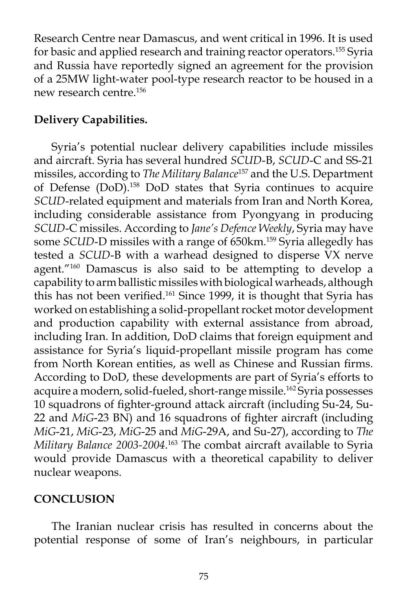Research Centre near Damascus, and went critical in 1996. It is used for basic and applied research and training reactor operators.155 Syria and Russia have reportedly signed an agreement for the provision of a 25MW light-water pool-type research reactor to be housed in a new research centre.156

## **Delivery Capabilities.**

 Syria's potential nuclear delivery capabilities include missiles and aircraft. Syria has several hundred *SCUD*-B, *SCUD*-C and SS-21 missiles, according to *The Military Balance*157 and the U.S. Department of Defense (DoD).158 DoD states that Syria continues to acquire *SCUD*-related equipment and materials from Iran and North Korea, including considerable assistance from Pyongyang in producing *SCUD*-C missiles. According to *Jane's Defence Weekly*, Syria may have some *SCUD-D* missiles with a range of 650km.<sup>159</sup> Syria allegedly has tested a *SCUD*-B with a warhead designed to disperse VX nerve agent."160 Damascus is also said to be attempting to develop a capability to arm ballistic missiles with biological warheads, although this has not been verified.<sup>161</sup> Since 1999, it is thought that Syria has worked on establishing a solid-propellant rocket motor development and production capability with external assistance from abroad, including Iran. In addition, DoD claims that foreign equipment and assistance for Syria's liquid-propellant missile program has come from North Korean entities, as well as Chinese and Russian firms. According to DoD, these developments are part of Syria's efforts to acquire a modern, solid-fueled, short-range missile.162 Syria possesses 10 squadrons of fighter-ground attack aircraft (including Su-24, Su-22 and *MiG*-23 BN) and 16 squadrons of fighter aircraft (including *MiG*-21, *MiG*-23, *MiG*-25 and *MiG*-29A, and Su-27), according to *The Military Balance 2003-2004*. 163 The combat aircraft available to Syria would provide Damascus with a theoretical capability to deliver nuclear weapons.

## **CONCLUSION**

 The Iranian nuclear crisis has resulted in concerns about the potential response of some of Iran's neighbours, in particular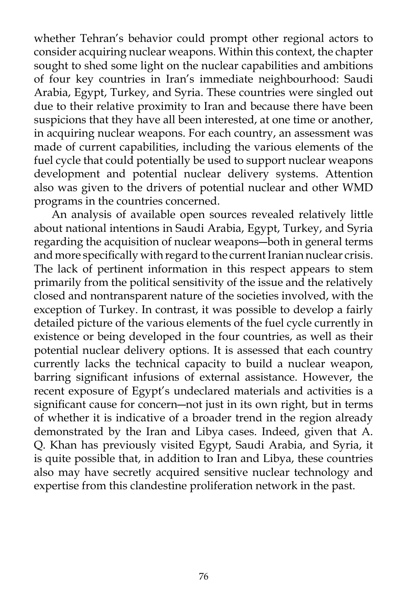whether Tehran's behavior could prompt other regional actors to consider acquiring nuclear weapons. Within this context, the chapter sought to shed some light on the nuclear capabilities and ambitions of four key countries in Iran's immediate neighbourhood: Saudi Arabia, Egypt, Turkey, and Syria. These countries were singled out due to their relative proximity to Iran and because there have been suspicions that they have all been interested, at one time or another, in acquiring nuclear weapons. For each country, an assessment was made of current capabilities, including the various elements of the fuel cycle that could potentially be used to support nuclear weapons development and potential nuclear delivery systems. Attention also was given to the drivers of potential nuclear and other WMD programs in the countries concerned.

 An analysis of available open sources revealed relatively little about national intentions in Saudi Arabia, Egypt, Turkey, and Syria regarding the acquisition of nuclear weapons―both in general terms and more specifically with regard to the current Iranian nuclear crisis. The lack of pertinent information in this respect appears to stem primarily from the political sensitivity of the issue and the relatively closed and nontransparent nature of the societies involved, with the exception of Turkey. In contrast, it was possible to develop a fairly detailed picture of the various elements of the fuel cycle currently in existence or being developed in the four countries, as well as their potential nuclear delivery options. It is assessed that each country currently lacks the technical capacity to build a nuclear weapon, barring significant infusions of external assistance. However, the recent exposure of Egypt's undeclared materials and activities is a significant cause for concern―not just in its own right, but in terms of whether it is indicative of a broader trend in the region already demonstrated by the Iran and Libya cases. Indeed, given that A. Q. Khan has previously visited Egypt, Saudi Arabia, and Syria, it is quite possible that, in addition to Iran and Libya, these countries also may have secretly acquired sensitive nuclear technology and expertise from this clandestine proliferation network in the past.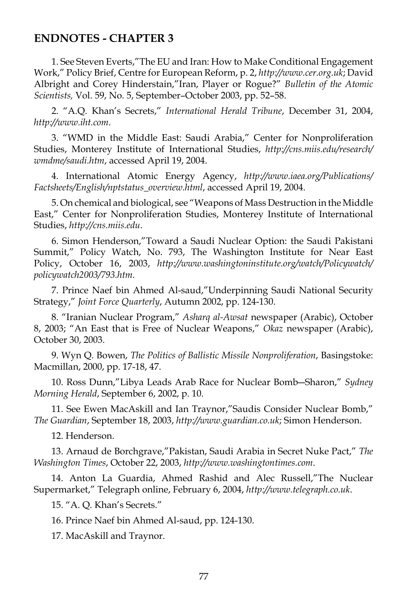#### **ENDNOTES - CHAPTER 3**

 1. See Steven Everts,"The EU and Iran: How to Make Conditional Engagement Work," Policy Brief, Centre for European Reform, p. 2, *http://www.cer.org.uk*; David Albright and Corey Hinderstain,"Iran, Player or Rogue?" *Bulletin of the Atomic Scientists,* Vol. 59, No. 5, September–October 2003, pp. 52–58.

 2. "A.Q. Khan's Secrets," *International Herald Tribune*, December 31, 2004, *http://www.iht.com*.

 3. "WMD in the Middle East: Saudi Arabia," Center for Nonproliferation Studies, Monterey Institute of International Studies, *http://cns.miis.edu/research/ wmdme/saudi.htm*, accessed April 19, 2004.

 4. International Atomic Energy Agency, *http://www.iaea.org/Publications/ Factsheets/English/nptstatus\_overview.html*, accessed April 19, 2004.

 5. On chemical and biological, see "Weapons of Mass Destruction in the Middle East," Center for Nonproliferation Studies, Monterey Institute of International Studies, *http://cns.miis.edu*.

 6. Simon Henderson,"Toward a Saudi Nuclear Option: the Saudi Pakistani Summit," Policy Watch, No. 793, The Washington Institute for Near East Policy, October 16, 2003, *http://www.washingtoninstitute.org/watch/Policywatch/ policywatch2003/793.htm*.

 7. Prince Naef bin Ahmed Al-saud,"Underpinning Saudi National Security Strategy," *Joint Force Quarterly*, Autumn 2002, pp. 124-130.

 8. "Iranian Nuclear Program," *Asharq al-Awsat* newspaper (Arabic), October 8, 2003; "An East that is Free of Nuclear Weapons," *Okaz* newspaper (Arabic), October 30, 2003.

 9. Wyn Q. Bowen, *The Politics of Ballistic Missile Nonproliferation*, Basingstoke: Macmillan, 2000, pp. 17-18, 47.

 10. Ross Dunn,"Libya Leads Arab Race for Nuclear Bomb―Sharon," *Sydney Morning Herald*, September 6, 2002, p. 10.

 11. See Ewen MacAskill and Ian Traynor,"Saudis Consider Nuclear Bomb," *The Guardian*, September 18, 2003, *http://www.guardian.co.uk*; Simon Henderson.

12. Henderson.

 13. Arnaud de Borchgrave,"Pakistan, Saudi Arabia in Secret Nuke Pact," *The Washington Times*, October 22, 2003, *http://www.washingtontimes.com*.

 14. Anton La Guardia, Ahmed Rashid and Alec Russell,"The Nuclear Supermarket," Telegraph online, February 6, 2004, *http://www.telegraph.co.uk*.

15. "A. Q. Khan's Secrets."

16. Prince Naef bin Ahmed Al-saud, pp. 124-130.

17. MacAskill and Traynor.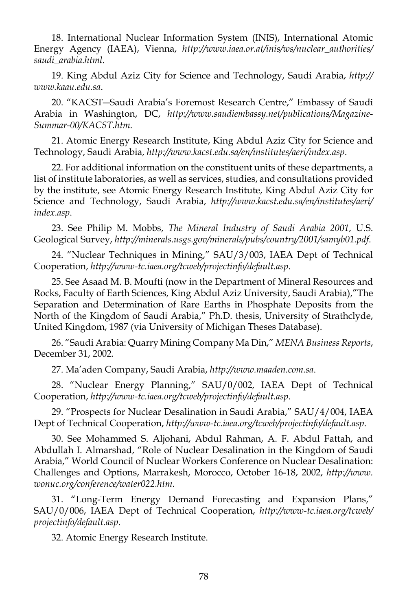18. International Nuclear Information System (INIS), International Atomic Energy Agency (IAEA), Vienna, *http://www.iaea.or.at/inis/ws/nuclear\_authorities/ saudi\_arabia.html*.

 19. King Abdul Aziz City for Science and Technology, Saudi Arabia, *http:// www.kaau.edu.sa*.

 20. "KACST―Saudi Arabia's Foremost Research Centre," Embassy of Saudi Arabia in Washington, DC, *http://www.saudiembassy.net/publications/Magazine-Summar-00/KACST.htm.*

 21. Atomic Energy Research Institute, King Abdul Aziz City for Science and Technology, Saudi Arabia, *http://www.kacst.edu.sa/en/institutes/aeri/index.asp*.

 22. For additional information on the constituent units of these departments, a list of institute laboratories, as well as services, studies, and consultations provided by the institute, see Atomic Energy Research Institute, King Abdul Aziz City for Science and Technology, Saudi Arabia, *http://www.kacst.edu.sa/en/institutes/aeri/ index.asp*.

 23. See Philip M. Mobbs, *The Mineral Industry of Saudi Arabia 2001*, U.S. Geological Survey, *http://minerals.usgs.gov/minerals/pubs/country/2001/samyb01.pdf*.

 24. "Nuclear Techniques in Mining," SAU/3/003, IAEA Dept of Technical Cooperation, *http://www-tc.iaea.org/tcweb/projectinfo/default.asp*.

 25. See Asaad M. B. Moufti (now in the Department of Mineral Resources and Rocks, Faculty of Earth Sciences, King Abdul Aziz University, Saudi Arabia),"The Separation and Determination of Rare Earths in Phosphate Deposits from the North of the Kingdom of Saudi Arabia," Ph.D. thesis, University of Strathclyde, United Kingdom, 1987 (via University of Michigan Theses Database).

 26. "Saudi Arabia: Quarry Mining Company Ma Din," *MENA Business Reports*, December 31, 2002.

27. Ma'aden Company, Saudi Arabia, *http://www.maaden.com.sa*.

 28. "Nuclear Energy Planning," SAU/0/002, IAEA Dept of Technical Cooperation, *http://www-tc.iaea.org/tcweb/projectinfo/default.asp*.

 29. "Prospects for Nuclear Desalination in Saudi Arabia," SAU/4/004, IAEA Dept of Technical Cooperation, *http://www-tc.iaea.org/tcweb/projectinfo/default.asp*.

 30. See Mohammed S. Aljohani, Abdul Rahman, A. F. Abdul Fattah, and Abdullah I. Almarshad, "Role of Nuclear Desalination in the Kingdom of Saudi Arabia," World Council of Nuclear Workers Conference on Nuclear Desalination: Challenges and Options, Marrakesh, Morocco, October 16-18, 2002, *http://www. wonuc.org/conference/water022.htm*.

 31. "Long-Term Energy Demand Forecasting and Expansion Plans," SAU/0/006, IAEA Dept of Technical Cooperation, *http://www-tc.iaea.org/tcweb/ projectinfo/default.asp*.

32. Atomic Energy Research Institute.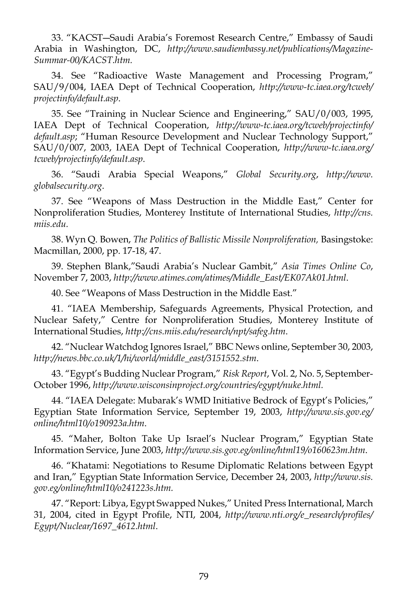33. "KACST―Saudi Arabia's Foremost Research Centre," Embassy of Saudi Arabia in Washington, DC, *http://www.saudiembassy.net/publications/Magazine-Summar-00/KACST.htm.*

 34. See "Radioactive Waste Management and Processing Program," SAU/9/004, IAEA Dept of Technical Cooperation, *http://www-tc.iaea.org/tcweb/ projectinfo/default.asp*.

 35. See "Training in Nuclear Science and Engineering," SAU/0/003, 1995, IAEA Dept of Technical Cooperation, *http://www-tc.iaea.org/tcweb/projectinfo/ default.asp*; "Human Resource Development and Nuclear Technology Support," SAU/0/007, 2003, IAEA Dept of Technical Cooperation, *http://www-tc.iaea.org/ tcweb/projectinfo/default.asp*.

 36. "Saudi Arabia Special Weapons," *Global Security.org*, *http://www. globalsecurity.org*.

 37. See "Weapons of Mass Destruction in the Middle East," Center for Nonproliferation Studies, Monterey Institute of International Studies, *http://cns. miis.edu.*

 38. Wyn Q. Bowen, *The Politics of Ballistic Missile Nonproliferation,* Basingstoke: Macmillan, 2000, pp. 17-18, 47.

 39. Stephen Blank,"Saudi Arabia's Nuclear Gambit," *Asia Times Online Co*, November 7, 2003, *http://www.atimes.com/atimes/Middle\_East/EK07Ak01.html*.

40. See "Weapons of Mass Destruction in the Middle East."

 41. "IAEA Membership, Safeguards Agreements, Physical Protection, and Nuclear Safety," Centre for Nonproliferation Studies, Monterey Institute of International Studies, *http://cns.miis.edu/research/npt/safeg.htm*.

 42. "Nuclear Watchdog Ignores Israel," BBC News online, September 30, 2003, *http://news.bbc.co.uk/1/hi/world/middle\_east/3151552.stm*.

 43. "Egypt's Budding Nuclear Program," *Risk Report*, Vol. 2, No. 5, September-October 1996, *http://www.wisconsinproject.org/countries/egypt/nuke.html.*

 44. "IAEA Delegate: Mubarak's WMD Initiative Bedrock of Egypt's Policies," Egyptian State Information Service, September 19, 2003, *http://www.sis.gov.eg/ online/html10/o190923a.htm*.

 45. "Maher, Bolton Take Up Israel's Nuclear Program," Egyptian State Information Service, June 2003, *http://www.sis.gov.eg/online/html19/o160623m.htm*.

 46. "Khatami: Negotiations to Resume Diplomatic Relations between Egypt and Iran," Egyptian State Information Service, December 24, 2003, *http://www.sis. gov.eg/online/html10/o241223s.htm.*

 47. "Report: Libya, Egypt Swapped Nukes," United Press International, March 31, 2004, cited in Egypt Profile, NTI, 2004, *http://www.nti.org/e\_research/profiles/ Egypt/Nuclear/1697\_4612.html*.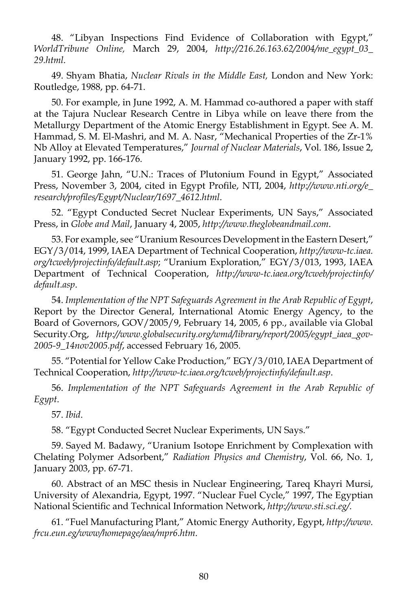48. "Libyan Inspections Find Evidence of Collaboration with Egypt," *WorldTribune Online,* March 29, 2004, *http://216.26.163.62/2004/me\_egypt\_03\_ 29.html*.

 49. Shyam Bhatia, *Nuclear Rivals in the Middle East,* London and New York: Routledge, 1988, pp. 64-71.

 50. For example, in June 1992, A. M. Hammad co-authored a paper with staff at the Tajura Nuclear Research Centre in Libya while on leave there from the Metallurgy Department of the Atomic Energy Establishment in Egypt. See A. M. Hammad, S. M. El-Mashri, and M. A. Nasr, "Mechanical Properties of the Zr-1% Nb Alloy at Elevated Temperatures," *Journal of Nuclear Materials*, Vol. 186, Issue 2, January 1992, pp. 166-176.

 51. George Jahn, "U.N.: Traces of Plutonium Found in Egypt," Associated Press, November 3, 2004, cited in Egypt Profile, NTI, 2004, *http://www.nti.org/e\_ research/profiles/Egypt/Nuclear/1697\_4612.html*.

 52. "Egypt Conducted Secret Nuclear Experiments, UN Says," Associated Press, in *Globe and Mail*, January 4, 2005, *http://www.theglobeandmail.com*.

 53. For example, see "Uranium Resources Development in the Eastern Desert," EGY/3/014, 1999, IAEA Department of Technical Cooperation, *http://www-tc.iaea. org/tcweb/projectinfo/default.asp*; "Uranium Exploration," EGY/3/013, 1993, IAEA Department of Technical Cooperation, *http://www-tc.iaea.org/tcweb/projectinfo/ default.asp*.

 54. *Implementation of the NPT Safeguards Agreement in the Arab Republic of Egypt*, Report by the Director General, International Atomic Energy Agency, to the Board of Governors, GOV/2005/9, February 14, 2005, 6 pp., available via Global Security.Org, *http://www.globalsecurity.org/wmd/library/report/2005/egypt\_iaea\_gov-2005-9\_14nov2005.pdf*, accessed February 16, 2005.

 55. "Potential for Yellow Cake Production," EGY/3/010, IAEA Department of Technical Cooperation, *http://www-tc.iaea.org/tcweb/projectinfo/default.asp*.

 56. *Implementation of the NPT Safeguards Agreement in the Arab Republic of Egypt*.

57. *Ibid*.

58. "Egypt Conducted Secret Nuclear Experiments, UN Says."

 59. Sayed M. Badawy, "Uranium Isotope Enrichment by Complexation with Chelating Polymer Adsorbent," *Radiation Physics and Chemistry*, Vol. 66, No. 1, January 2003, pp. 67-71.

 60. Abstract of an MSC thesis in Nuclear Engineering, Tareq Khayri Mursi, University of Alexandria, Egypt, 1997. "Nuclear Fuel Cycle," 1997, The Egyptian National Scientific and Technical Information Network, *http://www.sti.sci.eg/*.

 61. "Fuel Manufacturing Plant," Atomic Energy Authority, Egypt, *http://www. frcu.eun.eg/www/homepage/aea/mpr6.htm*.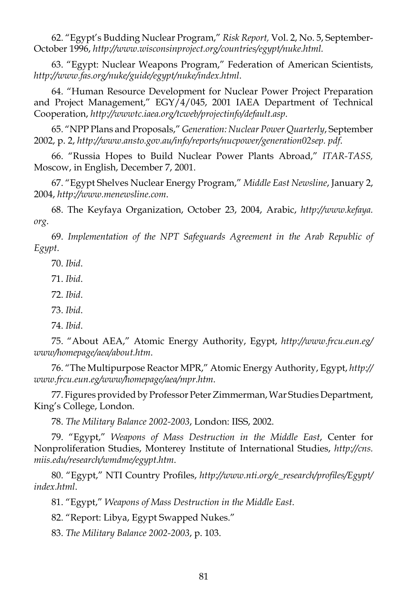62. "Egypt's Budding Nuclear Program," *Risk Report,* Vol. 2, No. 5, September-October 1996, *http://www.wisconsinproject.org/countries/egypt/nuke.html.*

 63. "Egypt: Nuclear Weapons Program," Federation of American Scientists, *http://www.fas.org/nuke/guide/egypt/nuke/index.html*.

 64. "Human Resource Development for Nuclear Power Project Preparation and Project Management," EGY/4/045, 2001 IAEA Department of Technical Cooperation, *http://wwwtc.iaea.org/tcweb/projectinfo/default.asp*.

 65. "NPP Plans and Proposals," *Generation: Nuclear Power Quarterly*, September 2002, p. 2, *http://www.ansto.gov.au/info/reports/nucpower/generation02sep. pdf*.

 66. "Russia Hopes to Build Nuclear Power Plants Abroad," *ITAR-TASS,*  Moscow, in English, December 7, 2001.

 67. "Egypt Shelves Nuclear Energy Program," *Middle East Newsline*, January 2, 2004, *http://www.menewsline.com*.

 68. The Keyfaya Organization, October 23, 2004, Arabic, *http://www.kefaya. org*.

 69. *Implementation of the NPT Safeguards Agreement in the Arab Republic of Egypt*.

70. *Ibid*.

71. *Ibid*.

72. *Ibid*.

73. *Ibid*.

74. *Ibid*.

 75. "About AEA," Atomic Energy Authority, Egypt, *http://www.frcu.eun.eg/ www/homepage/aea/about.htm*.

 76. "The Multipurpose Reactor MPR," Atomic Energy Authority, Egypt, *http:// www.frcu.eun.eg/www/homepage/aea/mpr.htm*.

 77. Figures provided by Professor Peter Zimmerman, War Studies Department, King's College, London.

78. *The Military Balance 2002-2003*, London: IISS, 2002.

 79. "Egypt," *Weapons of Mass Destruction in the Middle East*, Center for Nonproliferation Studies, Monterey Institute of International Studies, *http://cns. miis.edu/research/wmdme/egypt.htm*.

 80. "Egypt," NTI Country Profiles, *http://www.nti.org/e\_research/profiles/Egypt/ index.html*.

81. "Egypt," *Weapons of Mass Destruction in the Middle East*.

82. "Report: Libya, Egypt Swapped Nukes."

83. *The Military Balance 2002-2003*, p. 103.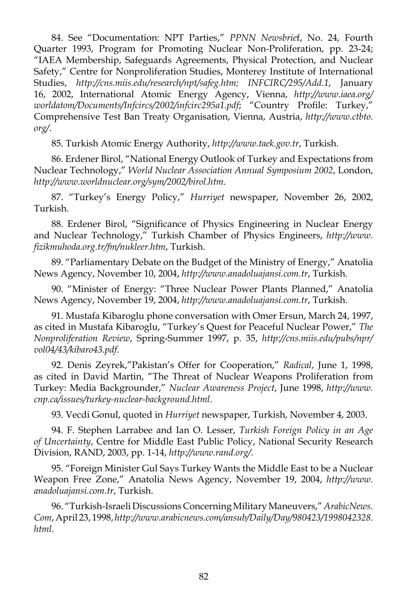84. See "Documentation: NPT Parties," *PPNN Newsbrie*f, No. 24, Fourth Quarter 1993, Program for Promoting Nuclear Non-Proliferation, pp. 23-24; "IAEA Membership, Safeguards Agreements, Physical Protection, and Nuclear Safety," Centre for Nonproliferation Studies, Monterey Institute of International Studies, *http://cns.miis.edu/research/npt/safeg.htm; INFCIRC/295/Add.1*, January 16, 2002, International Atomic Energy Agency, Vienna, *http://www.iaea.org/ worldatom/Documents/Infcircs/2002/infcirc295a1.pdf*; "Country Profile: Turkey," Comprehensive Test Ban Treaty Organisation, Vienna, Austria, *http://www.ctbto. org/*.

85. Turkish Atomic Energy Authority, *http://www.taek.gov.tr*, Turkish.

 86. Erdener Birol, "National Energy Outlook of Turkey and Expectations from Nuclear Technology," *World Nuclear Association Annual Symposium 2002*, London, *http://www.worldnuclear.org/sym/2002/birol.htm*.

 87. "Turkey's Energy Policy," *Hurriyet* newspaper, November 26, 2002, Turkish.

 88. Erdener Birol, "Significance of Physics Engineering in Nuclear Energy and Nuclear Technology," Turkish Chamber of Physics Engineers, *http://www. fizikmuhoda.org.tr/fm/nukleer.htm*, Turkish.

 89. "Parliamentary Debate on the Budget of the Ministry of Energy," Anatolia News Agency, November 10, 2004, *http://www.anadoluajansi.com.tr*, Turkish.

 90. "Minister of Energy: "Three Nuclear Power Plants Planned," Anatolia News Agency, November 19, 2004, *http://www.anadoluajansi.com.tr*, Turkish.

 91. Mustafa Kibaroglu phone conversation with Omer Ersun, March 24, 1997, as cited in Mustafa Kibaroglu, "Turkey's Quest for Peaceful Nuclear Power," *The Nonproliferation Review*, Spring-Summer 1997, p. 35, *http://cns.miis.edu/pubs/npr/ vol04/43/kibaro43.pdf*.

 92. Denis Zeyrek,"Pakistan's Offer for Cooperation," *Radical*, June 1, 1998, as cited in David Martin, "The Threat of Nuclear Weapons Proliferation from Turkey: Media Backgrounder," *Nuclear Awareness Project*, June 1998, *http://www. cnp.ca/issues/turkey-nuclear-background.html*.

93. Vecdi Gonul, quoted in *Hurriyet* newspaper, Turkish, November 4, 2003.

 94. F. Stephen Larrabee and Ian O. Lesser, *Turkish Foreign Policy in an Age of Uncertainty*, Centre for Middle East Public Policy, National Security Research Division, RAND, 2003, pp. 1-14, *http://www.rand.org/*.

 95. "Foreign Minister Gul Says Turkey Wants the Middle East to be a Nuclear Weapon Free Zone," Anatolia News Agency, November 19, 2004, *http://www. anadoluajansi.com.tr*, Turkish.

 96. "Turkish-Israeli Discussions Concerning Military Maneuvers," *ArabicNews. Com*, April 23, 1998, *http://www.arabicnews.com/ansub/Daily/Day/980423/1998042328. html*.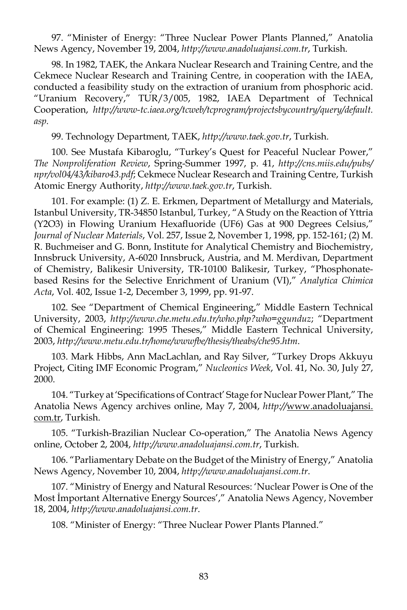97. "Minister of Energy: "Three Nuclear Power Plants Planned," Anatolia News Agency, November 19, 2004, *http://www.anadoluajansi.com.tr*, Turkish.

 98. In 1982, TAEK, the Ankara Nuclear Research and Training Centre, and the Cekmece Nuclear Research and Training Centre, in cooperation with the IAEA, conducted a feasibility study on the extraction of uranium from phosphoric acid. "Uranium Recovery," TUR/3/005, 1982, IAEA Department of Technical Cooperation, *http://www-tc.iaea.org/tcweb/tcprogram/projectsbycountry/query/default. asp.*

99. Technology Department, TAEK, *http://www.taek.gov.tr*, Turkish.

 100. See Mustafa Kibaroglu, "Turkey's Quest for Peaceful Nuclear Power," *The Nonproliferation Review*, Spring-Summer 1997, p. 41, *http://cns.miis.edu/pubs/ npr/vol04/43/kibaro43.pdf*; Cekmece Nuclear Research and Training Centre, Turkish Atomic Energy Authority, *http://www.taek.gov.tr*, Turkish.

 101. For example: (1) Z. E. Erkmen, Department of Metallurgy and Materials, Istanbul University, TR-34850 Istanbul, Turkey, "A Study on the Reaction of Yttria (Y2O3) in Flowing Uranium Hexafluoride (UF6) Gas at 900 Degrees Celsius," *Journal of Nuclear Materials*, Vol. 257, Issue 2, November 1, 1998, pp. 152-161; (2) M. R. Buchmeiser and G. Bonn, Institute for Analytical Chemistry and Biochemistry, Innsbruck University, A-6020 Innsbruck, Austria, and M. Merdivan, Department of Chemistry, Balikesir University, TR-10100 Balikesir, Turkey, "Phosphonatebased Resins for the Selective Enrichment of Uranium (VI)," *Analytica Chimica Acta*, Vol. 402, Issue 1-2, December 3, 1999, pp. 91-97.

 102. See "Department of Chemical Engineering," Middle Eastern Technical University, 2003, *http://www.che.metu.edu.tr/who.php?who=ggunduz*; "Department of Chemical Engineering: 1995 Theses," Middle Eastern Technical University, 2003, *http://www.metu.edu.tr/home/wwwfbe/thesis/theabs/che95.htm*.

 103. Mark Hibbs, Ann MacLachlan, and Ray Silver, "Turkey Drops Akkuyu Project, Citing IMF Economic Program," *Nucleonics Week*, Vol. 41, No. 30, July 27, 2000.

 104. "Turkey at 'Specifications of Contract' Stage for Nuclear Power Plant," The Anatolia News Agency archives online, May 7, 2004, *http://*www.anadoluajansi. com.tr, Turkish.

 105. "Turkish-Brazilian Nuclear Co-operation," The Anatolia News Agency online, October 2, 2004, *http://www.anadoluajansi.com.tr*, Turkish.

 106. "Parliamentary Debate on the Budget of the Ministry of Energy," Anatolia News Agency, November 10, 2004, *http://www.anadoluajansi.com.tr*.

 107. "Ministry of Energy and Natural Resources: 'Nuclear Power is One of the Most İmportant Alternative Energy Sources'," Anatolia News Agency, November 18, 2004, *http://www.anadoluajansi.com.tr*.

108. "Minister of Energy: "Three Nuclear Power Plants Planned."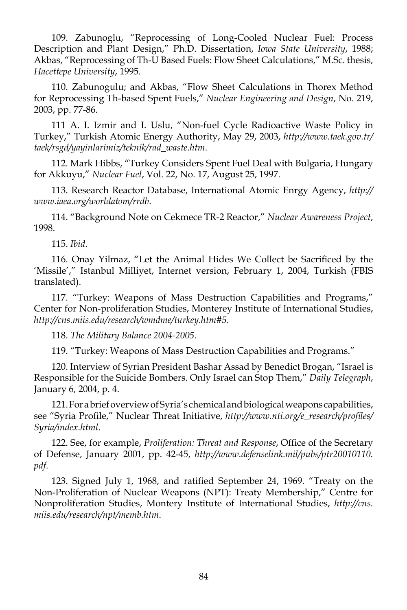109. Zabunoglu, "Reprocessing of Long-Cooled Nuclear Fuel: Process Description and Plant Design," Ph.D. Dissertation, *Iowa State University*, 1988; Akbas, "Reprocessing of Th-U Based Fuels: Flow Sheet Calculations," M.Sc. thesis, *Hacettepe University*, 1995.

 110. Zabunogulu; and Akbas, "Flow Sheet Calculations in Thorex Method for Reprocessing Th-based Spent Fuels," *Nuclear Engineering and Design*, No. 219, 2003, pp. 77-86.

 111 A. I. Izmir and I. Uslu, "Non-fuel Cycle Radioactive Waste Policy in Turkey," Turkish Atomic Energy Authority, May 29, 2003, *http://www.taek.gov.tr/ taek/rsgd/yayinlarimiz/teknik/rad\_waste.htm*.

 112. Mark Hibbs, "Turkey Considers Spent Fuel Deal with Bulgaria, Hungary for Akkuyu," *Nuclear Fuel*, Vol. 22, No. 17, August 25, 1997.

 113. Research Reactor Database, International Atomic Enrgy Agency, *http:// www.iaea.org/worldatom/rrdb*.

 114. "Background Note on Cekmece TR-2 Reactor," *Nuclear Awareness Project*, 1998.

115. *Ibid*.

 116. Onay Yilmaz, "Let the Animal Hides We Collect be Sacrificed by the 'Missile'," Istanbul Milliyet, Internet version, February 1, 2004, Turkish (FBIS translated).

 117. "Turkey: Weapons of Mass Destruction Capabilities and Programs," Center for Non-proliferation Studies, Monterey Institute of International Studies, *http://cns.miis.edu/research/wmdme/turkey.htm#5*.

118. *The Military Balance 2004-2005*.

119. "Turkey: Weapons of Mass Destruction Capabilities and Programs."

 120. Interview of Syrian President Bashar Assad by Benedict Brogan, "Israel is Responsible for the Suicide Bombers. Only Israel can Stop Them," *Daily Telegraph*, January 6, 2004, p. 4.

 121. For a brief overview of Syria's chemical and biological weapons capabilities, see "Syria Profile," Nuclear Threat Initiative, *http://www.nti.org/e\_research/profiles/ Syria/index.html*.

 122. See, for example, *Proliferation: Threat and Response*, Office of the Secretary of Defense, January 2001, pp. 42-45, *http://www.defenselink.mil/pubs/ptr20010110. pdf*.

123. Signed July 1, 1968, and ratified September 24, 1969. "Treaty on the Non-Proliferation of Nuclear Weapons (NPT): Treaty Membership," Centre for Nonproliferation Studies, Montery Institute of International Studies, *http://cns. miis.edu/research/npt/memb.htm*.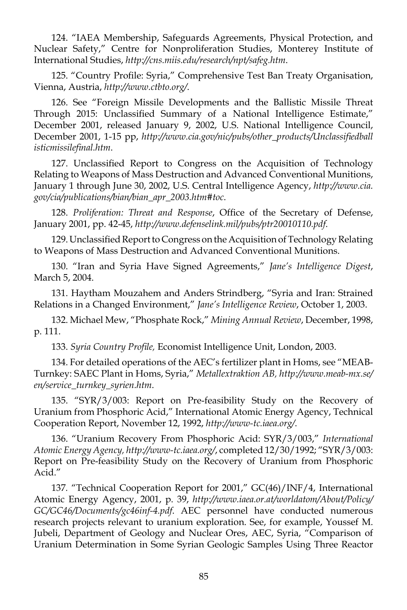124. "IAEA Membership, Safeguards Agreements, Physical Protection, and Nuclear Safety," Centre for Nonproliferation Studies, Monterey Institute of International Studies, *http://cns.miis.edu/research/npt/safeg.htm*.

 125. "Country Profile: Syria," Comprehensive Test Ban Treaty Organisation, Vienna, Austria, *http://www.ctbto.org/*.

 126. See "Foreign Missile Developments and the Ballistic Missile Threat Through 2015: Unclassified Summary of a National Intelligence Estimate," December 2001, released January 9, 2002, U.S. National Intelligence Council, December 2001, 1-15 pp, *http://www.cia.gov/nic/pubs/other\_products/Unclassifiedball isticmissilefinal.htm*.

 127. Unclassified Report to Congress on the Acquisition of Technology Relating to Weapons of Mass Destruction and Advanced Conventional Munitions, January 1 through June 30, 2002, U.S. Central Intelligence Agency, *http://www.cia. gov/cia/publications/bian/bian\_apr\_2003.htm#toc*.

 128. *Proliferation: Threat and Response*, Office of the Secretary of Defense, January 2001, pp. 42-45, *http://www.defenselink.mil/pubs/ptr20010110.pdf*.

 129. Unclassified Report to Congress on the Acquisition of Technology Relating to Weapons of Mass Destruction and Advanced Conventional Munitions.

 130. "Iran and Syria Have Signed Agreements," *Jane's Intelligence Digest*, March 5, 2004.

 131. Haytham Mouzahem and Anders Strindberg, "Syria and Iran: Strained Relations in a Changed Environment," *Jane's Intelligence Review*, October 1, 2003.

 132. Michael Mew, "Phosphate Rock," *Mining Annual Review*, December, 1998, p. 111.

133. *Syria Country Profile,* Economist Intelligence Unit, London, 2003.

 134. For detailed operations of the AEC's fertilizer plant in Homs, see "MEAB-Turnkey: SAEC Plant in Homs, Syria," *Metallextraktion AB, http://www.meab-mx.se/ en/service\_turnkey\_syrien.htm*.

 135. "SYR/3/003: Report on Pre-feasibility Study on the Recovery of Uranium from Phosphoric Acid," International Atomic Energy Agency, Technical Cooperation Report, November 12, 1992, *http://www-tc.iaea.org/*.

 136. "Uranium Recovery From Phosphoric Acid: SYR/3/003," *International Atomic Energy Agency, http://www-tc.iaea.org/*, completed 12/30/1992; "SYR/3/003: Report on Pre-feasibility Study on the Recovery of Uranium from Phosphoric Acid."

137*.* "Technical Cooperation Report for 2001," GC(46)/INF/4, International Atomic Energy Agency, 2001, p. 39, *http://www.iaea.or.at/worldatom/About/Policy/ GC/GC46/Documents/gc46inf-4.pdf*. AEC personnel have conducted numerous research projects relevant to uranium exploration. See, for example, Youssef M. Jubeli, Department of Geology and Nuclear Ores, AEC, Syria, "Comparison of Uranium Determination in Some Syrian Geologic Samples Using Three Reactor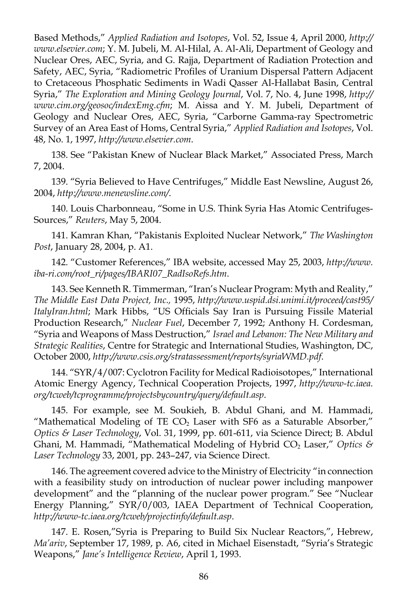Based Methods," *Applied Radiation and Isotopes*, Vol. 52, Issue 4, April 2000, *http:// www.elsevier.com*; Y. M. Jubeli, M. Al-Hilal, A. Al-Ali, Department of Geology and Nuclear Ores, AEC, Syria, and G. Rajja, Department of Radiation Protection and Safety, AEC, Syria, "Radiometric Profiles of Uranium Dispersal Pattern Adjacent to Cretaceous Phosphatic Sediments in Wadi Qasser Al-Hallabat Basin, Central Syria," *The Exploration and Mining Geology Journal*, Vol. 7, No. 4, June 1998, *http:// www.cim.org/geosoc/indexEmg.cfm*; M. Aissa and Y. M. Jubeli, Department of Geology and Nuclear Ores, AEC, Syria, "Carborne Gamma-ray Spectrometric Survey of an Area East of Homs, Central Syria," *Applied Radiation and Isotopes*, Vol. 48, No. 1, 1997, *http://www.elsevier.com*.

 138. See "Pakistan Knew of Nuclear Black Market," Associated Press, March 7, 2004.

 139. "Syria Believed to Have Centrifuges," Middle East Newsline, August 26, 2004, *http://www.menewsline.com/*.

 140. Louis Charbonneau, "Some in U.S. Think Syria Has Atomic Centrifuges-Sources," *Reuters*, May 5, 2004.

 141. Kamran Khan, "Pakistanis Exploited Nuclear Network," *The Washington Post*, January 28, 2004, p. A1.

 142. "Customer References," IBA website, accessed May 25, 2003, *http://www. iba-ri.com/root\_ri/pages/IBARI07\_RadIsoRefs.htm*.

 143. See Kenneth R. Timmerman, "Iran's Nuclear Program: Myth and Reality," *The Middle East Data Project, Inc.,* 1995, *http://www.uspid.dsi.unimi.it/proceed/cast95/ ItalyIran.html*; Mark Hibbs, "US Officials Say Iran is Pursuing Fissile Material Production Research," *Nuclear Fuel*, December 7, 1992; Anthony H. Cordesman, "Syria and Weapons of Mass Destruction," *Israel and Lebanon: The New Military and Strategic Realities*, Centre for Strategic and International Studies, Washington, DC, October 2000, *http://www.csis.org/stratassessment/reports/syriaWMD.pdf*.

 144. "SYR/4/007: Cyclotron Facility for Medical Radioisotopes," International Atomic Energy Agency, Technical Cooperation Projects, 1997, *http://www-tc.iaea. org/tcweb/tcprogramme/projectsbycountry/query/default.asp*.

 145. For example, see M. Soukieh, B. Abdul Ghani, and M. Hammadi, "Mathematical Modeling of TE  $CO<sub>2</sub>$  Laser with SF6 as a Saturable Absorber," *Optics & Laser Technology*, Vol. 31, 1999, pp. 601-611, via Science Direct; B. Abdul Ghani, M. Hammadi, "Mathematical Modeling of Hybrid CO<sub>2</sub> Laser," *Optics & Laser Technology* 33, 2001, pp. 243–247, via Science Direct.

 146. The agreement covered advice to the Ministry of Electricity "in connection with a feasibility study on introduction of nuclear power including manpower development" and the "planning of the nuclear power program." See "Nuclear Energy Planning," SYR/0/003, IAEA Department of Technical Cooperation, *http://www-tc.iaea.org/tcweb/projectinfo/default.asp*.

 147. E. Rosen,"Syria is Preparing to Build Six Nuclear Reactors,", Hebrew, *Ma'ariv*, September 17, 1989, p. A6, cited in Michael Eisenstadt, "Syria's Strategic Weapons," *Jane's Intelligence Review*, April 1, 1993.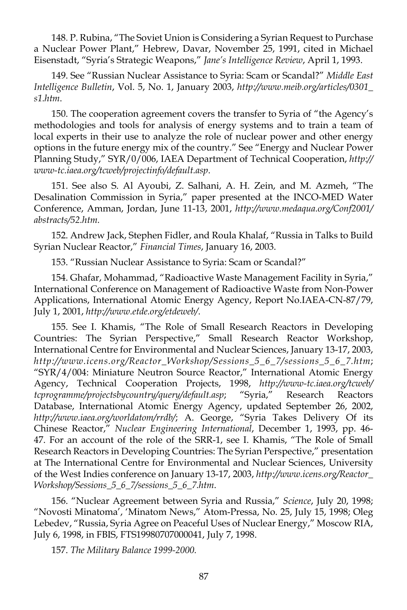148. P. Rubina, "The Soviet Union is Considering a Syrian Request to Purchase a Nuclear Power Plant," Hebrew, Davar, November 25, 1991, cited in Michael Eisenstadt, "Syria's Strategic Weapons," *Jane's Intelligence Review*, April 1, 1993.

 149. See "Russian Nuclear Assistance to Syria: Scam or Scandal?" *Middle East Intelligence Bulletin*, Vol. 5, No. 1, January 2003, *http://www.meib.org/articles/0301\_ s1.htm*.

 150. The cooperation agreement covers the transfer to Syria of "the Agency's methodologies and tools for analysis of energy systems and to train a team of local experts in their use to analyze the role of nuclear power and other energy options in the future energy mix of the country." See "Energy and Nuclear Power Planning Study," SYR/0/006, IAEA Department of Technical Cooperation, *http:// www-tc.iaea.org/tcweb/projectinfo/default.asp*.

 151. See also S. Al Ayoubi, Z. Salhani, A. H. Zein, and M. Azmeh, "The Desalination Commission in Syria," paper presented at the INCO-MED Water Conference, Amman, Jordan, June 11-13, 2001, *http://www.medaqua.org/Conf2001/ abstracts/52.htm.*

 152. Andrew Jack, Stephen Fidler, and Roula Khalaf, "Russia in Talks to Build Syrian Nuclear Reactor," *Financial Times*, January 16, 2003.

153. "Russian Nuclear Assistance to Syria: Scam or Scandal?"

 154. Ghafar, Mohammad, "Radioactive Waste Management Facility in Syria," International Conference on Management of Radioactive Waste from Non-Power Applications, International Atomic Energy Agency, Report No.IAEA-CN-87/79, July 1, 2001, *http://www.etde.org/etdeweb/*.

 155. See I. Khamis, "The Role of Small Research Reactors in Developing Countries: The Syrian Perspective," Small Research Reactor Workshop, International Centre for Environmental and Nuclear Sciences, January 13-17, 2003, *http://www.icens.org/Reactor\_Workshop/Sessions\_5\_6\_7/sessions\_5\_6\_7.htm*; "SYR/4/004: Miniature Neutron Source Reactor," International Atomic Energy Agency, Technical Cooperation Projects, 1998, *http://www-tc.iaea.org/tcweb/ tcprogramme/projectsbycountry/query/default.asp*; "Syria," Research Reactors Database, International Atomic Energy Agency, updated September 26, 2002, *http://www.iaea.org/worldatom/rrdb/*; A. George, "Syria Takes Delivery Of its Chinese Reactor," *Nuclear Engineering International*, December 1, 1993, pp. 46- 47. For an account of the role of the SRR-1, see I. Khamis, "The Role of Small Research Reactors in Developing Countries: The Syrian Perspective," presentation at The International Centre for Environmental and Nuclear Sciences, University of the West Indies conference on January 13-17, 2003, *http://www.icens.org/Reactor\_ Workshop/Sessions\_5\_6\_7/sessions\_5\_6\_7.htm*.

 156. "Nuclear Agreement between Syria and Russia," *Science*, July 20, 1998; "Novosti Minatoma', 'Minatom News," Atom-Pressa, No. 25, July 15, 1998; Oleg Lebedev, "Russia, Syria Agree on Peaceful Uses of Nuclear Energy," Moscow RIA, July 6, 1998, in FBIS, FTS19980707000041, July 7, 1998.

157. *The Military Balance 1999-2000.*